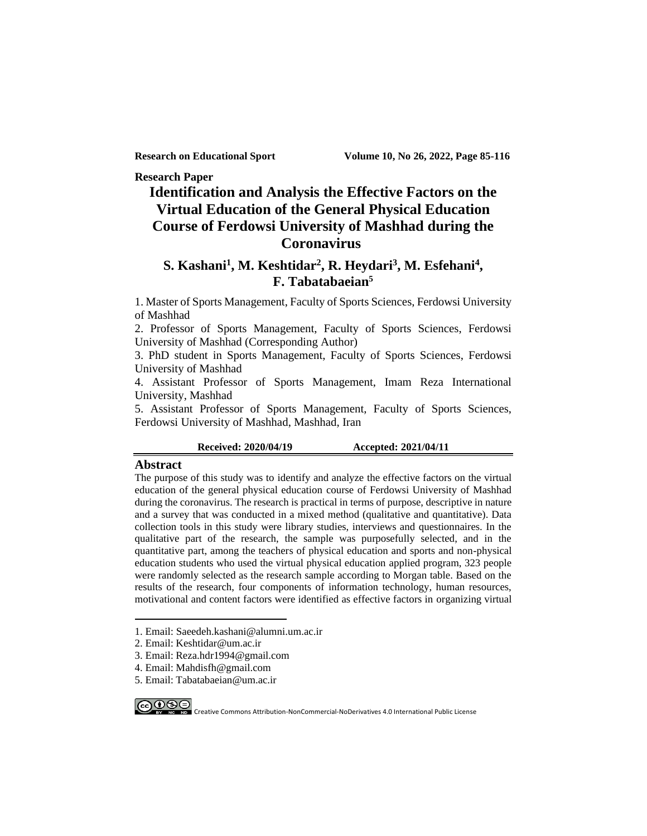**Research Paper**

## **Identification and Analysis the Effective Factors on the Virtual Education of the General Physical Education Course of Ferdowsi University of Mashhad during the Coronavirus**

### **S. Kashani<sup>1</sup> , M. Keshtidar<sup>2</sup> , R. Heydari<sup>3</sup> , M. Esfehani<sup>4</sup> , F. Tabatabaeian<sup>5</sup>**

1. Master of Sports Management, Faculty of Sports Sciences, Ferdowsi University of Mashhad

2. Professor of Sports Management, Faculty of Sports Sciences, Ferdowsi University of Mashhad (Corresponding Author)

3. PhD student in Sports Management, Faculty of Sports Sciences, Ferdowsi University of Mashhad

4. Assistant Professor of Sports Management, Imam Reza International University, Mashhad

5. Assistant Professor of Sports Management, Faculty of Sports Sciences, Ferdowsi University of Mashhad, Mashhad, Iran

**Received: 2020/04/19 Accepted: 2021/04/11**

#### **Abstract**

The purpose of this study was to identify and analyze the effective factors on the virtual education of the general physical education course of Ferdowsi University of Mashhad during the coronavirus. The research is practical in terms of purpose, descriptive in nature and a survey that was conducted in a mixed method (qualitative and quantitative). Data collection tools in this study were library studies, interviews and questionnaires. In the qualitative part of the research, the sample was purposefully selected, and in the quantitative part, among the teachers of physical education and sports and non-physical education students who used the virtual physical education applied program, 323 people were randomly selected as the research sample according to Morgan table. Based on the results of the research, four components of information technology, human resources, motivational and content factors were identified as effective factors in organizing virtual

5. Email: Tabatabaeian@um.ac.ir

CCOCE CREATIVE Commons Attribution-NonCommercial-NoDerivatives 4.0 International Public License

<sup>1.</sup> Email: Saeedeh.kashani@alumni.um.ac.ir

<sup>2.</sup> Email: Keshtidar@um.ac.ir

<sup>3.</sup> Email: Reza.hdr1994@gmail.com

<sup>4.</sup> Email: Mahdisfh@gmail.com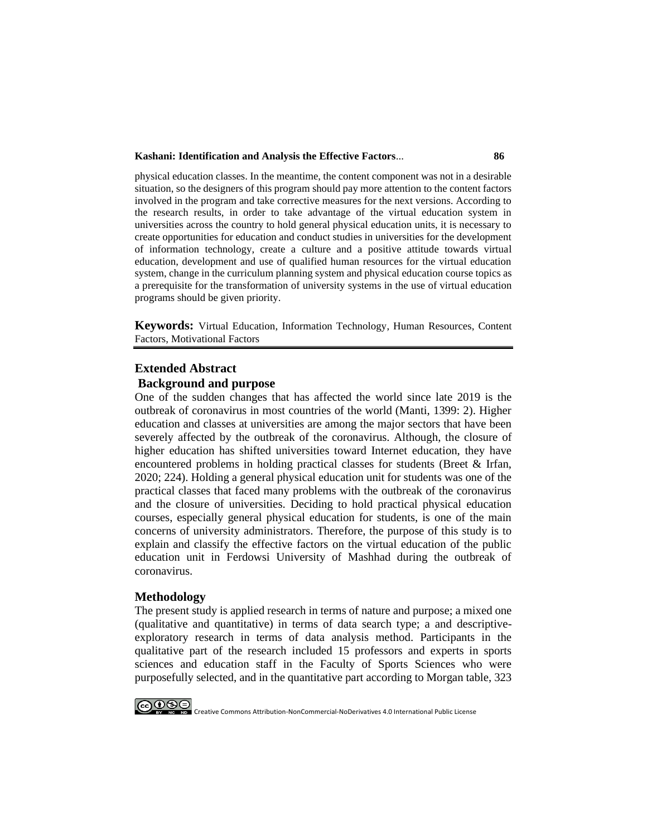#### **Kashani: Identification and Analysis the Effective Factors**... **86**

physical education classes. In the meantime, the content component was not in a desirable situation, so the designers of this program should pay more attention to the content factors involved in the program and take corrective measures for the next versions. According to the research results, in order to take advantage of the virtual education system in universities across the country to hold general physical education units, it is necessary to create opportunities for education and conduct studies in universities for the development of information technology, create a culture and a positive attitude towards virtual education, development and use of qualified human resources for the virtual education system, change in the curriculum planning system and physical education course topics as a prerequisite for the transformation of university systems in the use of virtual education programs should be given priority.

**Keywords:** Virtual Education, Information Technology, Human Resources, Content Factors, Motivational Factors

### **Extended Abstract Background and purpose**

One of the sudden changes that has affected the world since late 2019 is the outbreak of coronavirus in most countries of the world (Manti, 1399: 2). Higher education and classes at universities are among the major sectors that have been severely affected by the outbreak of the coronavirus. Although, the closure of higher education has shifted universities toward Internet education, they have encountered problems in holding practical classes for students (Breet & Irfan, 2020; 224). Holding a general physical education unit for students was one of the practical classes that faced many problems with the outbreak of the coronavirus and the closure of universities. Deciding to hold practical physical education courses, especially general physical education for students, is one of the main concerns of university administrators. Therefore, the purpose of this study is to explain and classify the effective factors on the virtual education of the public education unit in Ferdowsi University of Mashhad during the outbreak of coronavirus.

### **Methodology**

The present study is applied research in terms of nature and purpose; a mixed one (qualitative and quantitative) in terms of data search type; a and descriptiveexploratory research in terms of data analysis method. Participants in the qualitative part of the research included 15 professors and experts in sports sciences and education staff in the Faculty of Sports Sciences who were purposefully selected, and in the quantitative part according to Morgan table, 323



CCOCE IN CREATIVE Commons Attribution-NonCommercial-NoDerivatives 4.0 International Public License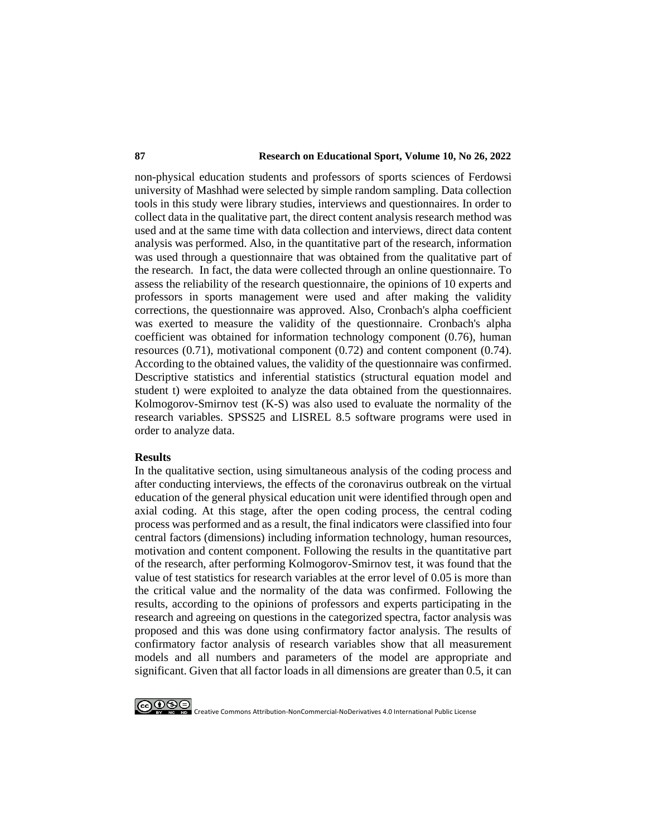### **87 Research on Educational Sport, Volume 10, No 26, 2022**

non-physical education students and professors of sports sciences of Ferdowsi university of Mashhad were selected by simple random sampling. Data collection tools in this study were library studies, interviews and questionnaires. In order to collect data in the qualitative part, the direct content analysis research method was used and at the same time with data collection and interviews, direct data content analysis was performed. Also, in the quantitative part of the research, information was used through a questionnaire that was obtained from the qualitative part of the research. In fact, the data were collected through an online questionnaire. To assess the reliability of the research questionnaire, the opinions of 10 experts and professors in sports management were used and after making the validity corrections, the questionnaire was approved. Also, Cronbach's alpha coefficient was exerted to measure the validity of the questionnaire. Cronbach's alpha coefficient was obtained for information technology component (0.76), human resources (0.71), motivational component (0.72) and content component (0.74). According to the obtained values, the validity of the questionnaire was confirmed. Descriptive statistics and inferential statistics (structural equation model and student t) were exploited to analyze the data obtained from the questionnaires. Kolmogorov-Smirnov test (K-S) was also used to evaluate the normality of the research variables. SPSS25 and LISREL 8.5 software programs were used in order to analyze data.

#### **Results**

In the qualitative section, using simultaneous analysis of the coding process and after conducting interviews, the effects of the coronavirus outbreak on the virtual education of the general physical education unit were identified through open and axial coding. At this stage, after the open coding process, the central coding process was performed and as a result, the final indicators were classified into four central factors (dimensions) including information technology, human resources, motivation and content component. Following the results in the quantitative part of the research, after performing Kolmogorov-Smirnov test, it was found that the value of test statistics for research variables at the error level of 0.05 is more than the critical value and the normality of the data was confirmed. Following the results, according to the opinions of professors and experts participating in the research and agreeing on questions in the categorized spectra, factor analysis was proposed and this was done using confirmatory factor analysis. The results of confirmatory factor analysis of research variables show that all measurement models and all numbers and parameters of the model are appropriate and significant. Given that all factor loads in all dimensions are greater than 0.5, it can



CCOCE CREATIVE Commons Attribution-NonCommercial-NoDerivatives 4.0 International Public License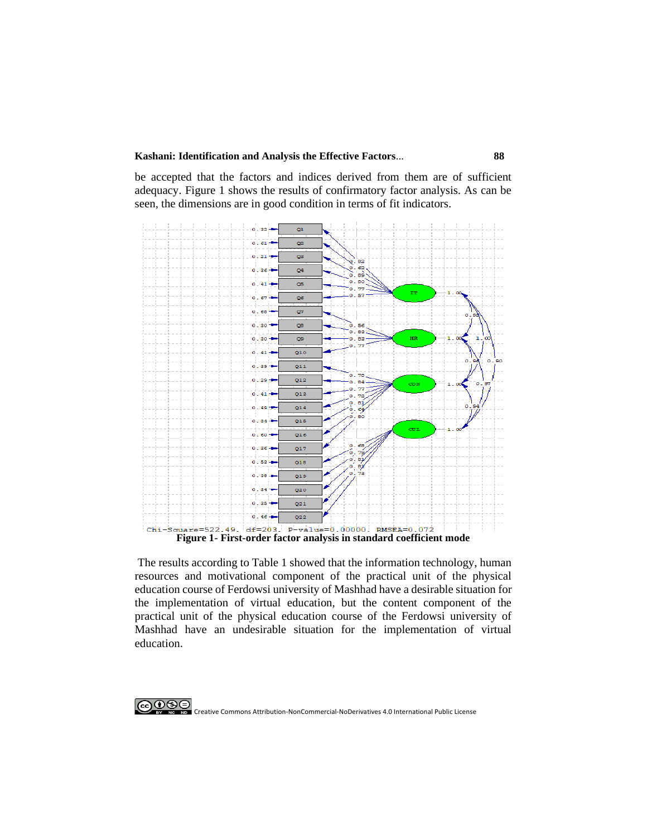**Kashani: Identification and Analysis the Effective Factors**... **88**

be accepted that the factors and indices derived from them are of sufficient adequacy. Figure 1 shows the results of confirmatory factor analysis. As can be seen, the dimensions are in good condition in terms of fit indicators.



The results according to Table 1 showed that the information technology, human resources and motivational component of the practical unit of the physical education course of Ferdowsi university of Mashhad have a desirable situation for the implementation of virtual education, but the content component of the practical unit of the physical education course of the Ferdowsi university of Mashhad have an undesirable situation for the implementation of virtual education.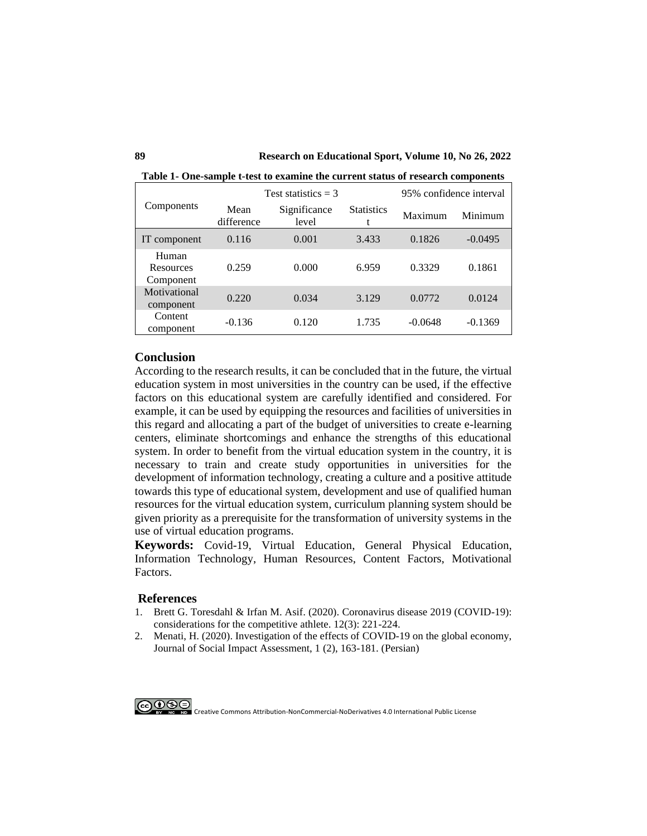**89 Research on Educational Sport, Volume 10, No 26, 2022**

|                                 |                    | Test statistics $=$ 3 | 95% confidence interval |           |           |
|---------------------------------|--------------------|-----------------------|-------------------------|-----------|-----------|
| Components                      | Mean<br>difference | Significance<br>level | <b>Statistics</b><br>t  | Maximum   | Minimum   |
| IT component                    | 0.116              | 0.001                 | 3.433                   | 0.1826    | $-0.0495$ |
| Human<br>Resources<br>Component | 0.259              | 0.000                 | 6.959                   | 0.3329    | 0.1861    |
| Motivational<br>component       | 0.220              | 0.034                 | 3.129                   | 0.0772    | 0.0124    |
| Content<br>component            | $-0.136$           | 0.120                 | 1.735                   | $-0.0648$ | $-0.1369$ |

**Table 1- One-sample t-test to examine the current status of research components**

### **Conclusion**

According to the research results, it can be concluded that in the future, the virtual education system in most universities in the country can be used, if the effective factors on this educational system are carefully identified and considered. For example, it can be used by equipping the resources and facilities of universities in this regard and allocating a part of the budget of universities to create e-learning centers, eliminate shortcomings and enhance the strengths of this educational system. In order to benefit from the virtual education system in the country, it is necessary to train and create study opportunities in universities for the development of information technology, creating a culture and a positive attitude towards this type of educational system, development and use of qualified human resources for the virtual education system, curriculum planning system should be given priority as a prerequisite for the transformation of university systems in the use of virtual education programs.

**Keywords:** Covid-19, Virtual Education, General Physical Education, Information Technology, Human Resources, Content Factors, Motivational Factors.

### **References**

- 1. [Brett G. Toresdahl](https://journals.sagepub.com/doi/full/10.1177/1941738120918876) & [Irfan M. Asif.](https://journals.sagepub.com/doi/full/10.1177/1941738120918876) (2020). Coronavirus disease 2019 (COVID-19): considerations for the competitive athlete. 12(3): 221-224.
- 2. Menati, H. (2020). Investigation of the effects of COVID-19 on the global economy, Journal of Social Impact Assessment, 1 (2), 163-181. (Persian)

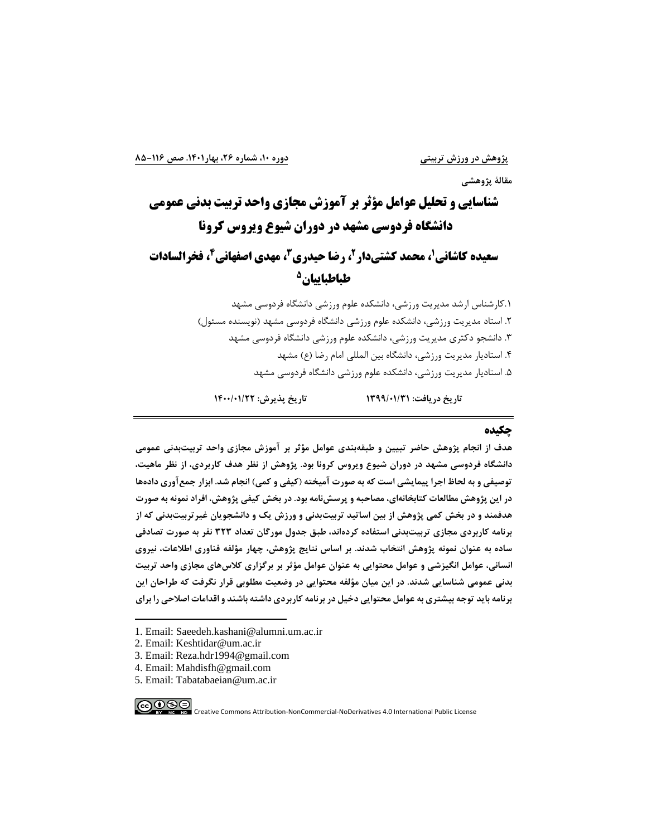## **مقالة پژوهشی**

# **شناسایی و تحلیل عوامل مؤثر بر آموزش مجازی واحد تربیت بدنی عمومی دانشگاه فردوسی مشهد در دوران شیوع ویروس کرونا 1 سعیده کاشانی 4 ، مهدی اصفهانی <sup>3</sup> ، رضا حیدری <sup>2</sup> ، محمد کشتی دار ، فخرالسادات 5 طباطباییان**

.1کارشناس ارشد مدیریت ورزشی، دانشکده علوم ورزشی دانشگاه فردوسی مشهد .2 استاد مدیریت ورزشی، دانشکده علوم ورزشی دانشگاه فردوسی مشهد )نویسنده مسئول( .3 دانشجو دکتری مدیریت ورزشی، دانشکده علوم ورزشی دانشگاه فردوسی مشهد ۴. استادیار مدیریت ورزشی، دانشگاه بین المللی امام رضا (ع) مشهد .5 استادیار مدیریت ورزشی، دانشکده علوم ورزشی دانشگاه فردوسی مشهد

**تاريخ دريافت: 1399/01/31 تاريخ پذيرش: /01/22 1400**

### **چکیده**

**هدف از انجام پژوهش حاضر تبیین و طبقهبندی عوامل مؤثر بر آموزش مجازی واحد تربیتبدنی عمومی دانشگاه فردوسی مشهد در دوران شیوع ويروس کرونا بود. پژوهش از نظر هدف کاربردی، از نظر ماهیت، توصیفی و به لحاظ اجرا پیمايشی است که به صورت آمیخته )کیفی و کمی( انجام شد. ابزار جمعآوری دادهها در اين پژوهش مطالعات کتابخانه ای، مصاحبه و پرسشنامه بود. در بخش کیفی پژوهش، افراد نمونه به صورت هدفمند و در بخش کمی پژوهش از بین اساتید تربیتبدنی و ورزش يک و دانشجويان غیرتربیتبدنی که از برنامه کاربردی مجازی تربیتبدنی استفاده کردهاند، طبق جدول مورگان تعداد 323 نفر به صورت تصادفی ساده به عنوان نمونه پژوهش انتخاب شدند. بر اساس نتايج پژوهش، چهار مؤلفه فناوری اطالعات، نیروی انسانی، عوامل انگیزشی و عوامل محتوايی به عنوان عوامل مؤثر بر برگزاری کالسهای مجازی واحد تربیت بدنی عمومی شناسايی شدند. در اين میان مؤلفه محتوايی در وضعیت مطلوبی قرار نگرفت که طراحان اين برنامه بايد توجه بیشتری به عوامل محتوايی دخیل در برنامه کاربردی داشته باشند و اقدامات اصالحی را برای** 

<sup>5.</sup> Email: Tabatabaeian@um.ac.ir



<sup>1.</sup> Email: Saeedeh.kashani@alumni.um.ac.ir

<sup>2.</sup> Email: Keshtidar@um.ac.ir

<sup>3.</sup> Email: Reza.hdr1994@gmail.com

<sup>4.</sup> Email: Mahdisfh@gmail.com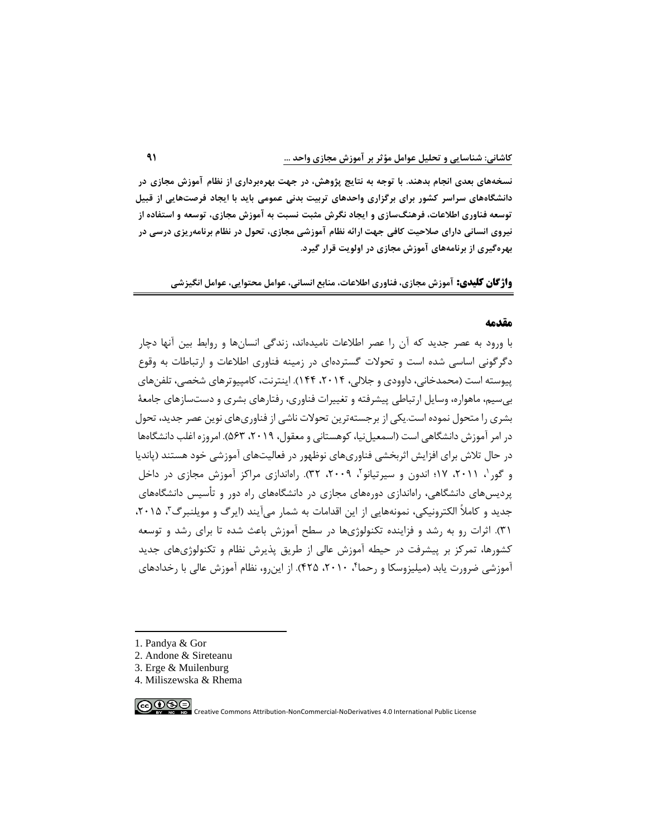**نسخههای بعدی انجام بدهند. با توجه به نتايج پژوهش، در جهت بهرهبرداری از نظام آموزش مجازی در دانشگاههای سراسر کشور برای برگزاری واحدهای تربیت بدنی عمومی بايد با ايجاد فرصت هايی از قبیل توسعه فناوری اطالعات، فرهنگسازی و ايجاد نگرش مثبت نسبت به آموزش مجازی ، توسعه و استفاده از نیروی انسانی دارای صالحیت کافی جهت ارائه نظام آموزشی مجازی، تحول در نظام برنامهريزی درسی در بهرهگیری از برنامههای آموزش مجازی در اولويت قرار گیرد.** 

**واژگان کلیدی: آموزش مجازی، فناوری اطالعات، منابع انسانی، عوامل محتوايی، عوامل انگیزشی** 

### **مقدمه**

با ورود به عصر جدید که آن را عصر اطالعات نامیدهاند، زندگی انسانها و روابط بین آنها دچار دگرگونی اساسی شده است و تحوالت گستردهای در زمینه فناور ی اطالعات و ارتباطات به وقوع پیوسته است (محمدخانی، داوودی و جلالی، ۲۰۱۴، ۱۴۴). اینترنت، کامپیوترهای شخصی، تلفنهای بیسیم، ماهواره، وسایل ارتباطی پیشرفته و تغییرات فناوری، رفتارهای بشری و دست سازهای جامعة بشری را متحول نموده است.یکی از برجسته ترین تحوالت ناشی از فناوریهای نوین عصر جدید، تحول در امر آموزش دانشگاهی است (اسمعیل نیا، کوهستانی و معقول، ۲۰۱۹، ۵۶۳). امروزه اغلب دانشگاهها در حال تالش برای افزایش اثربخشی فناوریهای نوظهور در فعالیتهای آموزشی خود هستند )پاندیا و گور ۱ ، ۲۰۱۱، ۱۷؛ اندون و سیرتیانو۲، ۲۰۰۹، ۳۲). راهاندازی مراکز آموزش مجازی در داخل پردیسهای دانشگاهی، راهاندازی دورههای مجازی در دانشگاههای راه دور و تأ سیس دانشگاههای جدید و کاملاً الکترونیکی، نمونههایی از این اقدامات به شمار میآیند (ایرگ و مویلنبرگ ؓ، ۲۰۱۵، 31(. اثرات رو به رشد و فزاینده تکنولوژی ها در سطح آموزش باعث شده تا برای رشد و توسعه کشورها، تمرکز بر پیشرفت در حیطه آموزش عالی از طریق پذیرش نظام و تکنولوژیهای جدید آموزشی ضرورت یابد (میلیزوسکا و رحماً ۲۰۱۰، ۴۲۵). از این رو، نظام آموزش عالی با رخدادهای

- 1. Pandya & Gor
- 2. Andone & Sireteanu
- 3. Erge & Muilenburg
- 4. Miliszewska & Rhema

∣⊚⊕⊛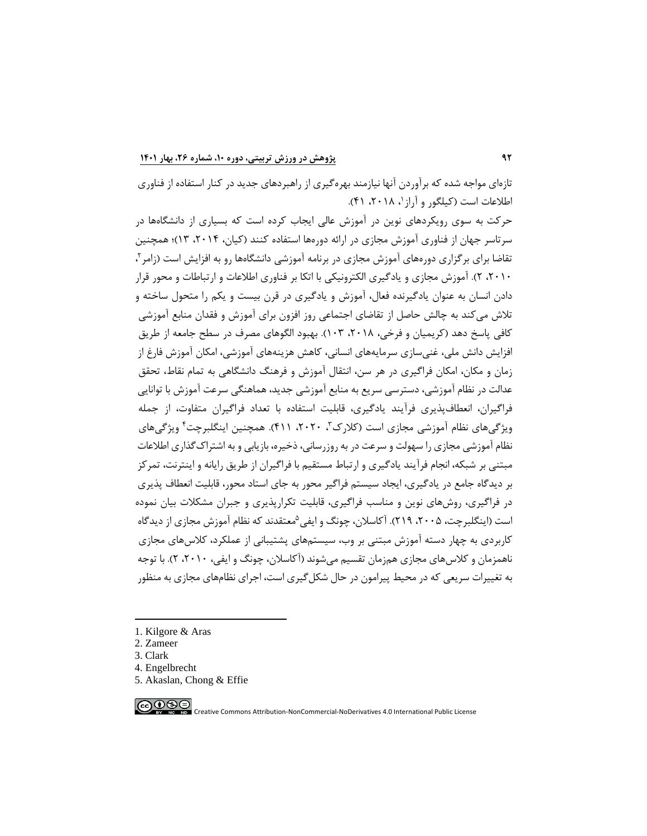تازهای مواجه شده که برآوردن آنها نیازمند بهرهگیری از راهبردهای جدید در کنار استفاده از فناوری اطلاعات است (کیلگور و آراز '، ۲۰۱۸، ۴۱).

حرکت به سوی رویکردهای نوین در آموزش عالی ایجاب کرده است که بسیاری از دانشگاهها در سرتاسر جهان از فناوری آموزش مجازی در ارائه دورهها استفاده کنند )کیان، ،2014 13(؛ همچنین تقاضا برای برگزاری دورههای آموزش مجازی در برنامه آموزشی دانشگاهها رو به افزایش است (زامر $\cdot$ ، ،2010 2(. آموزش مجازی و یادگیری الکترونیکی با اتکا بر فناوری اطالعات و ارتباطات و محور قرار دادن انسان به عنوان یادگیرنده فعال، آموزش و یادگیری در قرن بیست و یکم را متحول ساخته و تالش میکند به چالش حاصل از تقاضای اجتماعی روز افزون برای آموزش و فقدان منابع آموزشی کافی پاسخ دهد (کریمیان و فرخی، ۲۰۱۸، ۲۰۲۳). بهبود الگوهای مصرف در سطح جامعه از طریق افزایش دانش ملی، غنیسازی سرمایههای انسانی، کاهش هزینههای آموزشی، امکان آموزش فارغ از زمان و مکان، امکان فراگیری در هر سن، انتقال آموزش و فرهنگ دانشگاهی به تمام نقاط، تحقق عدالت در نظام آموزشی، دسترسی سریع به منابع آموزشی جدید، هماهنگی سرعت آموزش با توانایی فراگیران، انعطافپذیری فرآیند یادگیری، قابلیت استفاده با تعداد فراگیران متفاوت، از جمله ویژگیهای نظام آموزشی مجازی است (کلارک"، ۲۰۲۰، ۴۱۱). همچنین اینگلبرچت<sup>۴</sup> ویژگیهای نظام آموزشی مجازی را سهولت و سرعت در به روزرسانی، ذخیره، بازیابی و به اشتراکگذاری اطالعات مبتنی بر شبکه، انجام فرآیند یادگیری و ارتباط مستقیم با فراگیران از طریق رایانه و اینترنت، تمرکز بر دیدگاه جامع در یادگیری، ایجاد سیستم فراگیر محور به جای استاد محور، قابلیت انعطاف پذیری در فراگیری، روش های نوین و مناسب فراگیری، قابلیت تکرارپذیری و جبران مشکالت بیان نموده است (اینگلبرچت، ۲۰۰۵، ۲۱۹). آکاسلان، چونگ و ایفی <sup>۵</sup>معتقدند که نظام آموزش مجازی از دیدگاه کاربردی به چهار دسته آموزش مبتنی بر وب، سیستم های پشتیبانی از عملکرد، کالسهای مجازی ناهمزمان و کالسهای مجازی همزمان تقسیم میشوند )آکاسالن، چونگ و ایفی، ،2010 2(. با توجه به تغییرات سریعی که در محیط پیرامون در حال شکل گیری است، اجرای نظام های مجازی به منظور

- 1. Kilgore & Aras
- 2. Zameer
- 3. Clark
- 4. Engelbrecht
- 5. Akaslan, Chong & Effie

∣⊚⊕⊛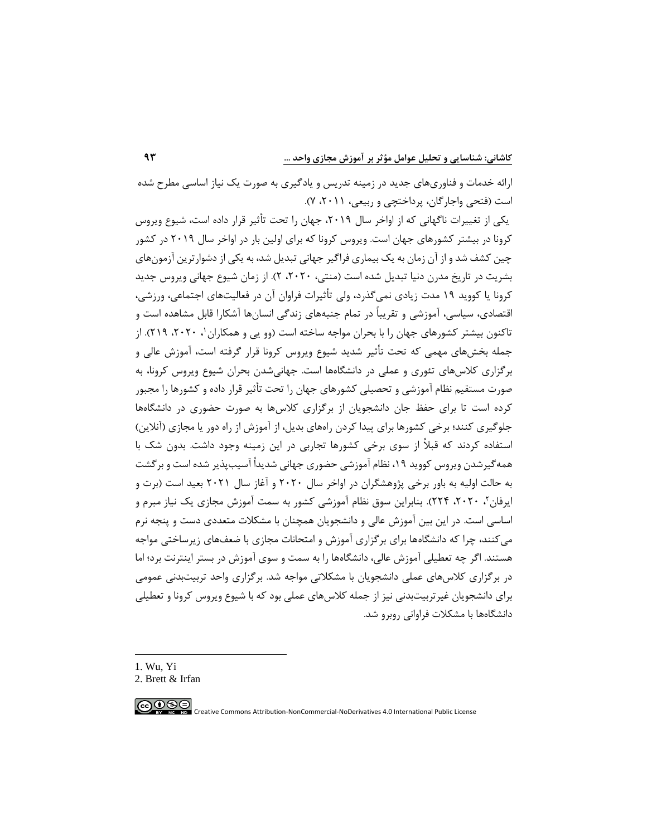ارائه خدمات و فناوریهای جدید در زمینه تدریس و یادگیری به صورت یک نیاز اساسی مطرح شده است )فتحی واجارگان، پرداختچی و ربیعی، ،2011 7(.

یکی از تغییرات ناگهانی که از اواخر سال ۲۰۱۹، جهان را تحت تأثیر قرار داده است، شیوع ویروس کرونا در بیشتر کشورهای جهان است. ویروس کرونا که برای اولین بار در اواخر سال 2019 در کشور چین کشف شد و از آن زمان به یک بیماری فراگیر جهانی تبدیل شد، به یکی از دشوارترین آزمون های بشریت در تاریخ مدرن دنیا تبدیل شده است (منتی، ۲۰۲۰، ۲). از زمان شیوع جهانی ویروس جدید کرونا یا کووید 19 مدت زیادی نمیگذرد، ولی تأثیرات فراوان آن در فعالیتهای اجتماعی، ورزشی، اقتصادی، سیاسی، آموزشی و تقریباً در تمام جنبههای زندگی انسانها آشکارا قابل مشاهده است و تاکنون بیشتر کشورهای جهان را با بحران مواجه ساخته است (وو یی و همکاران '، ۲۰۲۰، ۲۱۹). از جمله بخش های مهمی که تحت تأثیر شدید شیوع ویروس کرونا قرار گرفته است، آموزش عالی و برگزاری کالس های تئوری و عملی در دانشگاهها است. جهانیشدن بحران شیوع ویروس کرونا، به صورت مستقیم نظام آموزشی و تحصیلی کشورهای جهان را تحت تأثیر قرار داده و کشورها را مجبور کرده است تا برای حفظ جان دانشجویان از برگزاری کالسها به صورت حضوری در دانشگاهها جلوگیری کنند؛ برخی کشورها برای پیدا کردن راههای بدیل، از آموزش از راه دور یا مجازی (آنلاین) استفاده کردند که قبالً از سوی برخی کشورها تجاربی در این زمینه وجود داشت. بدون شک با همهگیرشدن ویروس کووید ،19 نظام آموزشی حضوری جهانی شدیداً آسیب پذیر شده است و برگشت به حالت اولیه به باور برخی پژوهشگران در اواخر سال 2020 و آغاز سال 2021 بعید است )برت و ایرفان ۲ ، ۲۰۲۰، ۲۲۴). بنابراین سوق نظام آموزشی کشور به سمت آموزش مجازی یک نیاز مبرم و اساسی است. در این بین آموزش عالی و دانشجویان همچنان با مشکالت متعددی دست و پنجه نرم میکنند، چرا که دانشگاهها برای برگزاری آموزش و امتحانات مجازی با ضعفهای زیرساختی مواجه هستند. اگر چه تعطیلی آموزش عالی، دانشگاهها را به سمت و سوی آموزش در بستر اینترنت برد؛ اما در برگزاری کالس های عملی دانشجویان با مشکالتی مواجه شد. برگزاری واحد تربیت بدنی عمومی برای دانشجویان غیرتربیت بدنی نیز از جمله کالسهای عملی بود که با شیوع ویروس کرونا و تعطیلی دانشگاهها با مشکالت فراوانی روبرو شد.

1. Wu, Yi

∣⊚⊕⊕

<sup>2.</sup> Brett & [Irfan](https://journals.sagepub.com/doi/full/10.1177/1941738120918876)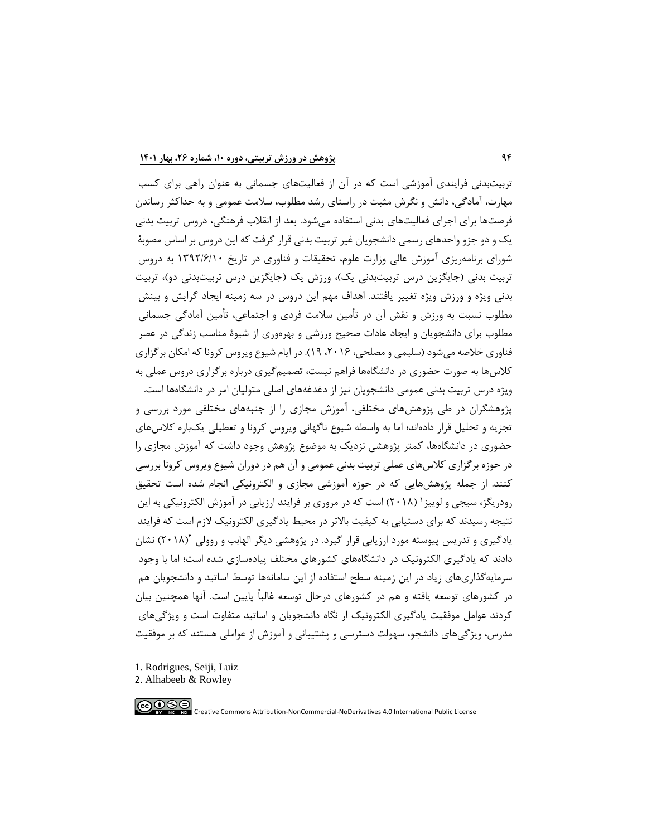تربیتبدنی فرایندی آموزشی است که در آن از فعالیت های جسمانی به عنوان راهی برای کسب مهارت، آمادگی، دانش و نگرش مثبت در راستای رشد مطلوب، سالمت عمومی و به حداکثر رساندن فرصتها برای اجرای فعالیتهای بدنی استفاده میشود. بعد از انقالب فرهنگی، دروس تربیت بدنی یک و دو جزو واحدهای رسمی دانشجویان غیر تربیت بدنی قرار گرفت که این دروس بر اساس مصوبة شورای برنامهریزی آموزش عالی وزارت علوم، تحقیقات و فناوری در تاریخ 1392/6/10 به دروس تربیت بدنی (جایگزین درس تربیتبدنی یک)، ورزش یک (جایگزین درس تربیتبدنی دو)، تربیت بدنی ویژه و ورزش ویژه تغییر یافتند. اهداف مهم این دروس در سه زمینه ایجاد گرایش و بینش مطلوب نسبت به ورزش و نقش آن در تأمین سالمت فردی و اجتماعی، تأمین آمادگی جسمانی مطلوب برای دانشجویان و ایجاد عادات صحیح ورزشی و بهرهوری از شیوة مناسب زندگی در عصر فناوری خالصه میشود )سلیمی و مصلحی، ،2016 19(. در ایام شیوع ویروس کرونا که امکان برگزاری کالسها به صورت حضوری در دانشگاهها فراهم نیست، تصمیمگیری درباره برگزاری دروس عملی به ویژه درس تربیت بدنی عمومی دانشجویان نیز از دغدغههای اصلی متولیان امر در دانشگاهها است. پژوهشگران در طی پژوهشهای مختلفی، آموزش مجازی را از جنبه های مختلفی مورد بررسی و تجزیه و تحلیل قرار داده اند؛ اما به واسطه شیوع ناگهانی ویروس کرونا و تعطیلی یکباره کالسهای حضوری در دانشگاهها، کمتر پژوهشی نزدیک به موضوع پژوهش وجود داشت که آموزش مجازی را در حوزه برگزاری کالس های عملی تربیت بدنی عمومی و آن هم در دوران شیوع ویروس کرونا بررسی کنند. از جمله پژوهشهایی که در حوزه آموزشی مجازی و الکترونیکی انجام شده است تحقیق رودریگز، سیجی و لوییز ' (۲۰۱۸) است که در مروری بر فرایند ارزیابی در آموزش الکترونیکی به این نتیجه رسیدند که برای دستیابی به کیفیت باالتر در محیط یادگیری الکترونیک الزم است که فرایند یادگیری و تدریس پیوسته مورد ارزیابی قرار گیرد. در پژوهشی دیگر الهابب و روولی ۲۰۱۸۱<sup>۲</sup>) نشان دادند که یادگیری الکترونیک در دانشگاههای کشورهای مختلف پیادهسازی شده است؛ اما با وجود سرمایهگذاریهای زیاد در این زمینه سطح استفاده از این سامانهها توسط اساتید و دانشجویان هم در کشورهای توسعه یافته و هم در کشورهای درحال توسعه غالباً پایین است. آنها همچنین بیان کردند عوامل موفقیت یادگیری الکترونیک از نگاه دانشجویان و اساتید متفاوت است و ویژگیهای مدرس، ویژگیهای دانشجو، سهولت دسترسی و پشتیبانی و آموزش از عواملی هستند که بر موفقیت

- 1. Rodrigues, Seiji, Luiz
- 2. Alhabeeb & Rowley

∣⊚⊕⊛⊜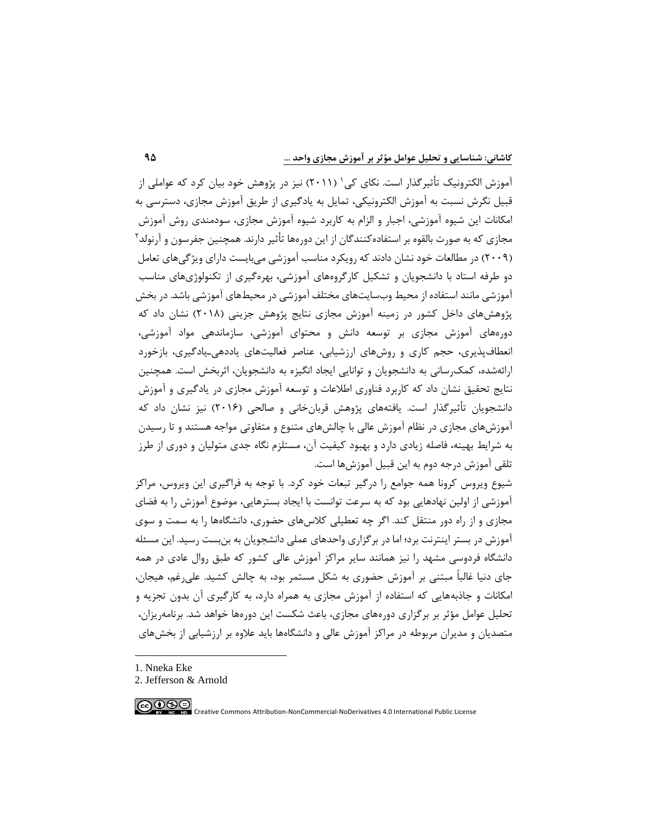آموزش الکترونیک تأثیرگذار است. نکای کی ٰ (۲۰۱۱) نیز در پژوهش خود بیان کرد که عواملی از قبیل نگرش نسبت به آموزش الکترونیکی، تمایل به یادگیری از طریق آموزش مجازی، دسترسی به امکانات این شیوه آموزشی، اجبار و الزام به کاربرد شیوه آموزش مجازی، سودمندی روش آموزش مجازی که به صورت بالقوه بر استفادهکنندگان از این دورهها تأثیر دارند. همچنین جفرسون و آرنولد<sup>۲</sup> )2009( در مطالعات خود نشان دادند که رویکرد مناسب آموزشی میبایست دارای ویژگیهای تعامل دو طرفه استاد با دانشجویان و تشکیل کارگروههای آموزشی، بهرهگیری از تکنولوژی های مناسب آموزشی مانند استفاده از محیط وبسایتهای مختلف آموزشی در محیط های آموزشی باشد. در بخش پژوهشهای داخل کشور در زمینه آموزش مجازی نتایج پژوهش جزینی )2018( نشان داد که دورههای آموزش مجازی بر توسعه دانش و محتوای آموزشی، سازماندهی مواد آموزشی، انعطافپذیری، حجم کاری و روشهای ارزشیابی، عناصر فعالیتهای یاددهیـیادگیری، بازخورد ارائه شده، کمکرسانی به دانشجویان و توانایی ایجاد انگیزه به دانشجویان، اثربخش است. همچنین نتایج تحقیق نشان داد که کاربرد فناوری اطالعات و توسعه آموزش مجازی در یادگیری و آموزش دانشجویان تأثیرگذار است. یافتههای پژوهش قربانِخانی و صالحی (۲۰۱۶) نیز نشان داد که آموزش های مجازی در نظام آموزش عالی با چالشهای متنوع و متفاوتی مواجه هستند و تا رسیدن به شرایط بهینه، فاصله زیادی دارد و بهبود کیفیت آن، مستلزم نگاه جدی متولیان و دوری از طرز تلقی آموزش درجه دوم به این قبیل آموزش ها است.

شیوع ویروس کرونا همه جوامع را درگیر تبعات خود کرد. با توجه به فراگیری این ویروس، مراکز آموزشی از اولین نهادهایی بود که به سرعت توانست با ایجاد بسترهایی، موضوع آموزش را به فضای مجازی و از راه دور منتقل کند. اگر چه تعطیلی کالسهای حضوری، دانشگاهها را به سمت و سوی آموزش در بستر اینترنت برد؛ اما در برگزاری واحدهای عملی دانشجویان به بنبست رسید. این مسئله دانشگاه فردوسی مشهد را نیز همانند سایر مراکز آموزش عالی کشور که طبق روال عادی در همه جای دنیا غالباً مبتنی بر آموزش حضوری به شکل مستمر بود، به چالش کشید. علیرغم، هیجان، امکانات و جاذبههایی که استفاده از آموزش مجازی به همراه دارد، به کارگیری آن بدون تجزیه و تحلیل عوامل مؤثر بر برگزاری دورههای مجازی، باعث شکست این دورهها خواهد شد. برنامهریزان، متصدیان و مدیران مربوطه در مراکز آموزش عالی و دانشگاهها باید عالوه بر ارزشیابی از بخشهای

- 1. Nneka Eke
- 2. Jefferson & Arnold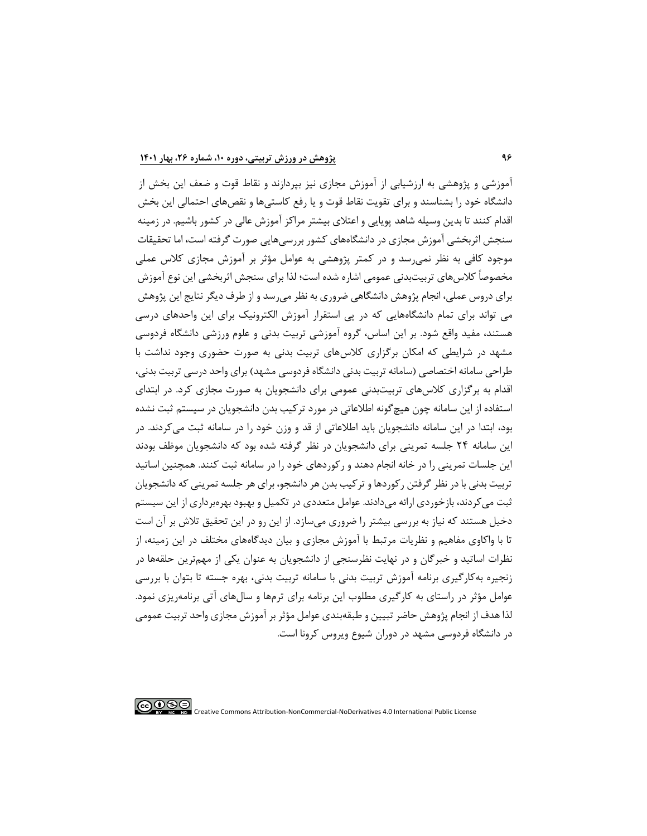آموزشی و پژوهشی به ارزشیابی از آموزش مجازی نیز بپردازند و نقاط قوت و ضعف این بخش از دانشگاه خود را بشناسند و برای تقویت نقاط قوت و یا رفع کاستیها و نقصهای احتمالی این بخش اقدام کنند تا بدین وسیله شاهد پویایی و اعتالی بیشتر مراکز آموزش عالی در کشور باشیم. در زمینه سنجش اثربخشی آموزش مجازی در دانشگاههای کشور بررسیهایی صورت گرفته است، اما تحقیقات موجود کافی به نظر نمیرسد و در کمتر پژوهشی به عوامل مؤثر بر آموزش مجازی کالس عملی مخصوصاً کالسهای تربیتبدنی عمومی اشاره شده است؛ لذا برای سنجش اثربخشی این نوع آموزش برای دروس عملی، انجام پژوهش دانشگاهی ضروری به نظر میرسد و از طرف دیگر نتایج این پژوهش می تواند برای تمام دانشگاههایی که در پی استقرار آموزش الکترونیک برای این واحدهای درسی هستند، مفید واقع شود. بر این اساس، گروه آموزشی تربیت بدنی و علوم ورزشی دانشگاه فردوسی مشهد در شرایطی که امکان برگزاری کالسهای تربیت بدنی به صورت حضوری وجود نداشت با طراحی سامانه اختصاصی (سامانه تربیت بدنی دانشگاه فردوسی مشهد) برای واحد درسی تربیت بدنی، اقدام به برگزاری کالسهای تربیتبدنی عمومی برای دانشجویان به صورت مجازی کرد. در ابتدای استفاده از این سامانه چون هیچگونه اطالعاتی در مورد ترکیب بدن دانشجویان در سیستم ثبت نشده بود، ابتدا در این سامانه دانشجویان باید اطالعاتی از قد و وزن خود را در سامانه ثبت میکردند. در این سامانه 24 جلسه تمرینی برای دانشجویان در نظر گرفته شده بود که دانشجویان موظف بودند این جلسات تمرینی را در خانه انجام دهند و رکوردهای خود را در سامانه ثبت کنند. همچنین اساتید تربیت بدنی با در نظر گرفتن رکوردها و ترکیب بدن هر دانشجو، برای هر جلسه تمرینی که دانشجویان ثبت میکردند، بازخوردی ارائه میدادند. عوامل متعددی در تکمیل و بهبود بهرهبرداری از این سیستم دخیل هستند که نیاز به بررسی بیشتر را ضروری میسازد. از این رو در این تحقیق تالش بر آن است تا با واکاوی مفاهیم و نظریات مرتبط با آموزش مجازی و بیان دیدگاههای مختلف در این زمینه، از نظرات اساتید و خبرگان و در نهایت نظرسنجی از دانشجویان به عنوان یکی از مهمترین حلقهها در زنجیره بهکارگیری برنامه آموزش تربیت بدنی با سامانه تربیت بدنی ، بهره جسته تا بتوان با بررسی عوامل مؤثر در راستای به کارگیری مطلوب این برنامه برای ترمها و سالهای آتی برنامهریزی نمود. لذا هدف از انجام پژوهش حاضر تبیین و طبقهبندی عوامل مؤثر بر آموزش مجازی واحد تربیت عمومی در دانشگاه فردوسی مشهد در دوران شیوع ویروس کرونا است.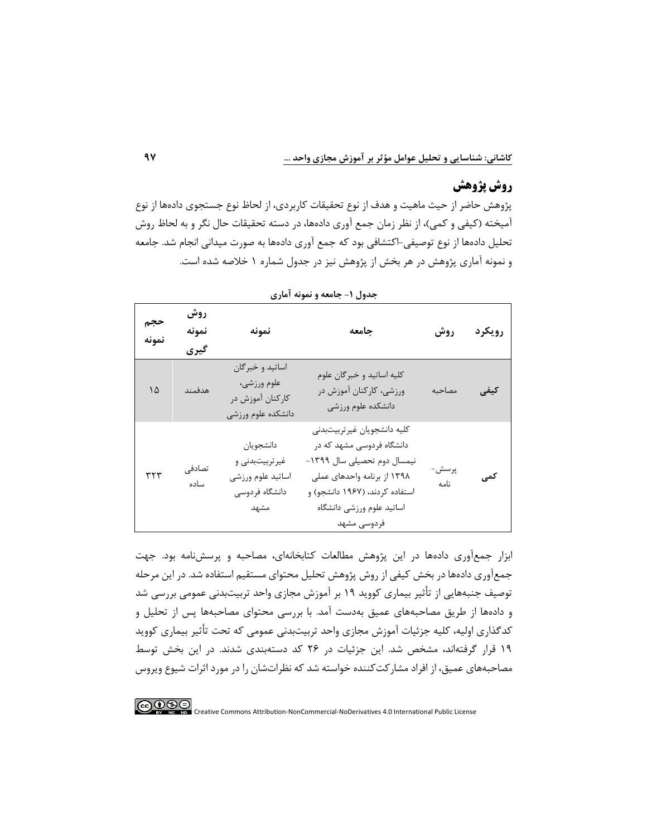### **روش پژوهش**

پژوهش حاضر از حیث ماهیت و هدف از نوع تحقیقات کاربردی، از لحاظ نوع جستجوی داده ها از نوع آمیخته (کیفی و کمی)، از نظر زمان جمع آوری دادهها، در دسته تحقیقات حال نگر و به لحاظ روش تحلیل دادهها از نوع توصیفی-اکتشافی بود که جمع آوری دادهها به صورت میدانی انجام شد. جامعه و نمونه آماری پژوهش در هر بخش از پژوهش نیز در جدول شماره 1 خالصه شده است.

|              |                      |                                                                             | بصون المجالسة واستوقه العاري                                                                                                                                                                         |               |        |
|--------------|----------------------|-----------------------------------------------------------------------------|------------------------------------------------------------------------------------------------------------------------------------------------------------------------------------------------------|---------------|--------|
| حجم<br>نمونه | روش<br>نمونه<br>گیری | نمونه                                                                       | جامعه                                                                                                                                                                                                | روش           | رويكرد |
| ۱۵           | هدفمند               | اساتيد و خبرگان<br>علوم ورزشي،<br>كاركنان آموزش در<br>دانشكده علوم ورزشى    | كليه اساتيد و خبرگان علوم<br>ورزشی، کارکنان آموزش در<br>دانشكده علوم ورزشى                                                                                                                           | مصاحبه        | كيفي   |
| ۳۲۳          | تصادفے<br>ساده       | دانشجويان<br>غیر تربیتبدنی و<br>اساتيد علوم ورزشي<br>دانشگاه فردوسی<br>مشهد | كليه دانشجويان غيرتربيتبدني<br>دانشگاه فردوسی مشهد که در<br>نیمسال دوم تحصیلی سال ۱۳۹۹-<br>۱۳۹۸ از برنامه واحدهای عملی<br>استفاده کردند، (۱۹۶۷ دانشجو) و<br>اساتيد علوم ورزشى دانشگاه<br>فردوسى مشهد | پرسش-<br>نامه | کمی    |

|  |  | جدول ۱- جامعه و نمونه آماری |  |
|--|--|-----------------------------|--|
|--|--|-----------------------------|--|

ابزار جمع آوری دادهها در این پژوهش مطالعات کتابخانهای، مصاحبه و پرسشنامه بود. جهت جمع آوری دادهها در بخش کیفی از روش پژوهش تحلیل محتوای مستقیم استفاده شد . در این مرحله توصیف جنبه هایی از تأثیر بیماری کووید 19 بر آموزش مجازی واحد تربیتبدنی عمومی بررسی شد و دادهها از طریق مصاحبههای عمیق بهدست آمد. با بررسی محتوای مصاحبه ها پس از تحلیل و کدگذاری اولیه، کلیه جزئیات آموزش مجازی واحد تربیت بدنی عمومی که تحت تأثیر بیماری کووید 19 قرار گرفتهاند، مشخص شد. این جزئیات در 26 کد دستهبندی شدند . در این بخش توسط مصاحبه های عمیق، از افراد مشارکتکننده خواسته شد که نظرات شان را در مورد اثرات شیوع ویروس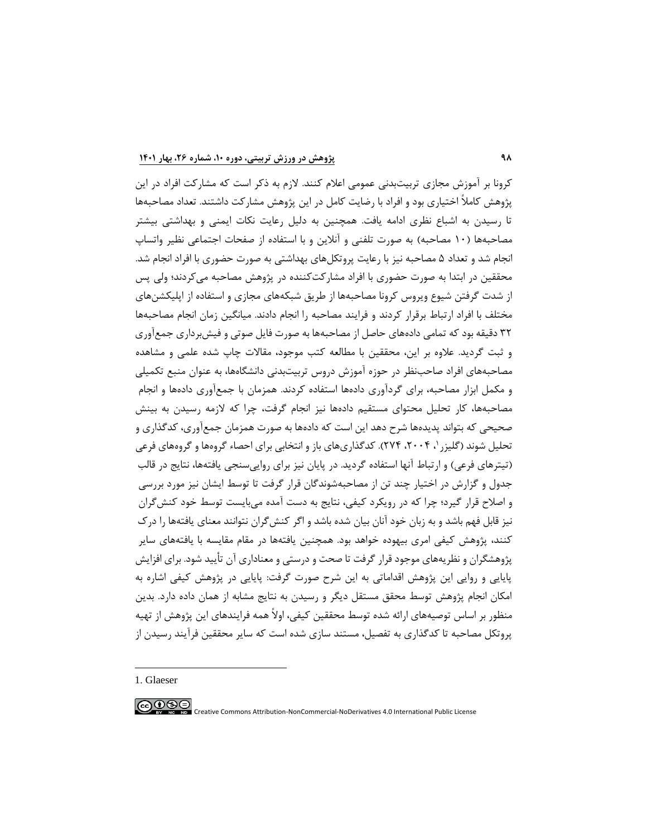کرونا بر آموزش مجازی تربیت بدنی عمومی اعالم کنند. الزم به ذکر است که مشارکت افراد در این پژوهش کامالً اختیاری بود و افراد با رضایت کامل در این پژوهش مشارکت داشتند. تعداد مصاحبهها تا رسیدن به اشباع نظری ادامه یافت. همچنین به دلیل رعایت نکات ایمنی و بهداشتی بیشتر مصاحبهها (١٠ مصاحبه) به صورت تلفنی و آنلاین و با استفاده از صفحات اجتماعی نظیر واتساپ انجام شد و تعداد 5 مصاحبه نیز با رعایت پروتکلهای بهداشتی به صورت حضوری با افراد انجام شد. محققین در ابتدا به صورت حضوری با افراد مشارکتکننده در پژوهش مصاحبه میکردند؛ ولی پس از شدت گرفتن شیوع ویروس کرونا مصاحبهها از طریق شبکههای مجازی و استفاده از اپلیکشنهای مختلف با افراد ارتباط برقرار کردند و فرایند مصاحبه را انجام دادند. میانگین زمان انجام مصاحبهها 32 دقیقه بود که تمامی دادههای حاصل از مصاحبهها به صورت فایل صوتی و فیشبرداری جمعآوری و ثبت گردید. عالوه بر این، محققین با مطالعه کتب موجود، مقاالت چاپ شده علمی و مشاهده مصاحبه های افراد صاحبنظر در حوزه آموزش دروس تربیت بدنی دانشگاهها، به عنوان منبع تکمیلی و مکمل ابزار مصاحبه، برای گردآوری دادهها استفاده کردند. همزمان با جمعآوری دادهها و انجام مصاحبه ها، کار تحلیل محتوای مستقیم دادهها نیز انجام گرفت، چرا که الزمه رسیدن به بینش صحیحی که بتواند پدیدهها شرح دهد این است که دادهها به صورت همزمان جمعآوری، کدگذاری و تحلیل شوند (گلیزر '، ۲۰۰۴، ۲۷۴). کدگذاریهای باز و انتخابی برای احصاء گروهها و گروههای فرعی (تیترهای فرعی) و ارتباط آنها استفاده گردید. در پایان نیز برای روایی سنجی یافتهها، نتایج در قالب جدول و گزارش در اختیار چند تن از مصاحبهشوندگان قرار گرفت تا توسط ایشان نیز مورد بررسی و اصالح قرار گیرد؛ چرا که در رویکرد کیفی، نتایج به دست آمده میبایست توسط خود کنشگران نیز قابل فهم باشد و به زبان خود آنان بیان شده باشد و اگر کنشگران نتوانند معنای یافتهها را درک کنند، پژوهش کیفی امری بیهوده خواهد بود. همچنین یافتهها در مقام مقایسه با یافتههای سایر پژوهشگران و نظریه های موجود قرار گرفت تا صحت و درستی و معناداری آن تأیید شود. برای افزایش پایایی و روایی این پژوهش اقداماتی به این شرح صورت گرفت: پایایی در پژوهش کیفی اشاره به امکان انجام پژوهش توسط محقق مستقل دیگر و رسیدن به نتایج مشابه از همان داده دارد. بدین منظور بر اساس توصیههای ارائه شده توسط محققین کیفی، اوالً همه فرایندهای این پژوهش از تهیه پروتکل مصاحبه تا کدگذاری به تفصیل، مستند سازی شده است که سایر محققین فرآیند رسیدن از

1. Glaeser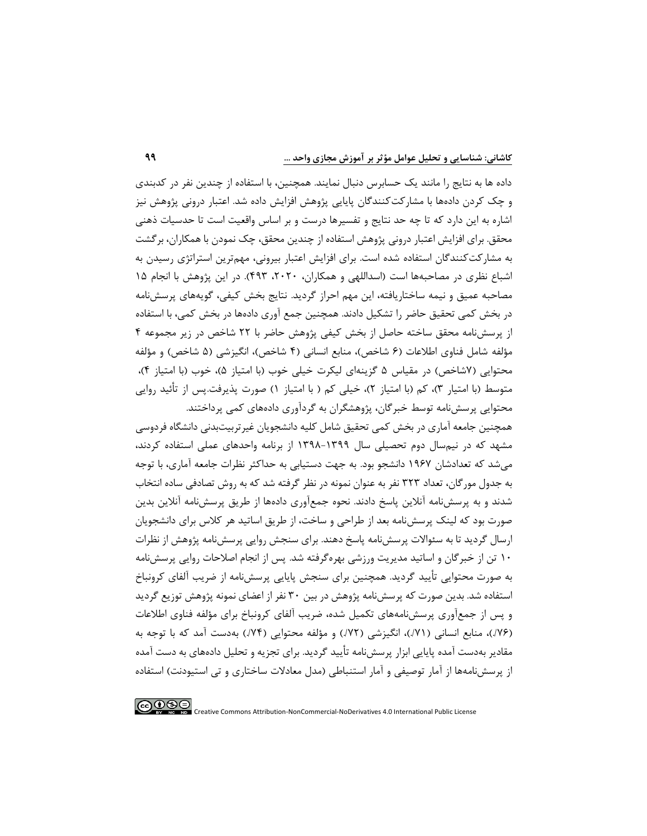داده ها به نتایج را مانند یک حسابرس دنبال نمایند. همچنین، با استفاده از چندین نفر در کدبندی و چک کردن دادهها با مشارکتکنندگان پایایی پژوهش افزایش داده شد. اعتبار درونی پژوهش نیز اشاره به این دارد که تا چه حد نتایج و تفسیرها درست و بر اساس واقعیت است تا حدسیات ذهنی محقق. برای افزایش اعتبار درونی پژوهش استفاده از چندین محقق، چک نمودن با همکاران، برگشت به مشارکتکنندگان استفاده شده است. برای افزایش اعتبار بیرونی، مهمترین استراتژی رسیدن به اشباع نظری در مصاحبهها است (اسداللهی و همکاران، ۲۰۲۰، ۴۹۳). در این پژوهش با انجام ۱۵ مصاحبه عمیق و نیمه ساختاریافته، این مهم احراز گردید. نتایج بخش کیفی، گویههای پرسشنامه در بخش کمی تحقیق حاضر را تشکیل دادند. همچنین جمع آوری دادهها در بخش کمی، با استفاده از پرسشنامه محقق ساخته حاصل از بخش کیفی پژوهش حاضر با 22 شاخص در زیر مجموعه 4 مؤلفه شامل فناوی اطلاعات (۶ شاخص)، منابع انسانی (۴ شاخص) و مؤلفه ) و مؤلفه محتوایی (۷شاخص) در مقیاس ۵ گزینهای لیکرت خیلی خوب (با امتیاز ۴)، خوب (با امتیاز ۴)، متوسط (با امتیار ۳)، کم (با امتیاز ۲)، خیلی کم ( با امتیاز ۱) صورت پذیرفت.پس از تأئید روایی محتوایی پرسشنامه توسط خبرگان، پژوهشگران به گردآوری دادههای کمی پرداختند.

همچنین جامعه آماری در بخش کمی تحقیق شامل کلیه دانشجویان غیرتربیتبدنی دانشگاه فردوسی مشهد که در نیمسال دوم تحصیلی سال 1398-1399 از برنامه واحدهای عملی استفاده کردند، میشد که تعدادشان 1967 دانشجو بود. به جهت دستیابی به حداکثر نظرات جامعه آماری، با توجه به جدول مورگان، تعداد 323 نفر به عنوان نمونه در نظر گرفته شد که به روش تصادفی ساده انتخاب شدند و به پرسشنامه آنالین پاسخ دادند. نحوه جمعآوری دادهها از طریق پرسشنامه آنالین بدین صورت بود که لینک پرسشنامه بعد از طراحی و ساخت، از طریق اساتید هر کالس برای دانشجویان ارسال گردید تا به سئواالت پرسشنامه پاسخ دهند. برای سنجش روایی پرسشنامه پژوهش از نظرات 10 تن از خبرگان و اساتید مدیریت ورزشی بهرهگرفته شد. پس از انجام اصالحات روایی پرسشنامه به صورت محتوایی تأیید گردید. همچنین برای سنجش پایایی پرسشنامه از ضریب آلفای کرونباخ استفاده شد. بدین صورت که پرسشنامه پژوهش در بین 30 نفر از اعضای نمونه پژوهش توزیع گردید و پس از جمعآوری پرسشنامههای تکمیل شده، ضریب آلفای کرونباخ برای مؤلفه فناوی اطالعات )./76(، منابع انسانی )./71(، انگیزشی )./72( و مؤلفه محتوایی )./74( بهدست آمد که با توجه به مقادیر بهدست آمده پایایی ابزار پرسشنامه تأیید گردید. برای تجزیه و تحلیل دادههای به دست آمده از پرسش نامهها از آمار توصیفی و آمار استنباطی (مدل معادلات ساختاری و تی استیودنت) استفاده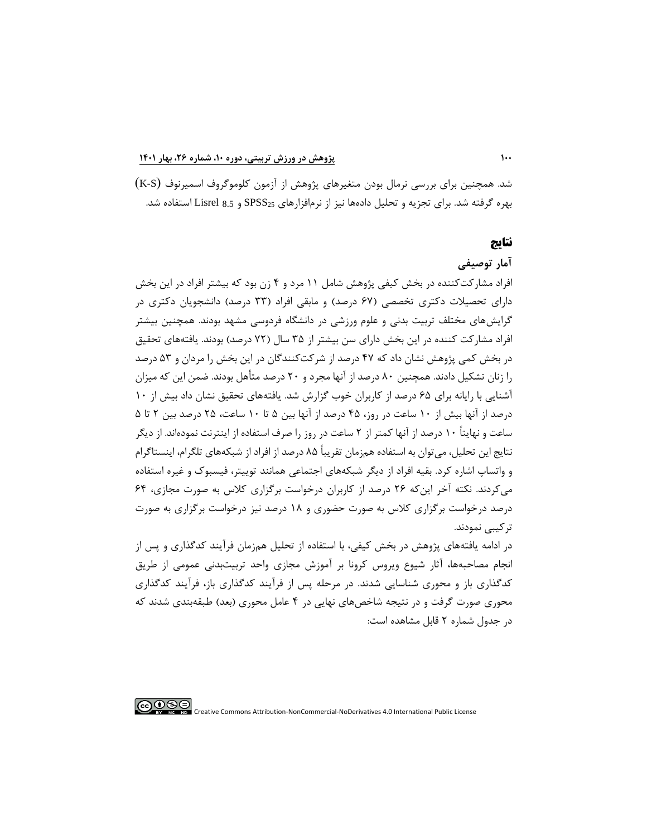شد. همچنین برای بررسی نرمال بودن متغیرهای پژوهش از آزمون کلوموگروف اسمیرنوف )S-K ) بهره گرفته شد. برای تجزیه و تحلیل دادهها نیز از نرمافزارهای 25SPSS و 8.5 Lisrel استفاده شد.

### **نتایج**

### **آمار توصیفی**

افراد مشارکتکننده در بخش کیفی پژوهش شامل 11 مرد و 4 زن بود که بیشتر افراد در این بخش دارای تحصیلات دکتری تخصصی (۶۷ درصد) و مابقی افراد (۳۳ درصد) دانشجویان دکتری در گرایشهای مختلف تربیت بدنی و علوم ورزشی در دانشگاه فردوسی مشهد بودند. همچنین بیشتر افراد مشارکت کننده در این بخش دارای سن بیشتر از ۳۵ سال (۷۲ درصد) بودند. یافتههای تحقیق در بخش کمی پژوهش نشان داد که 47 درصد از شرکت کنندگان در این بخش را مردان و 53 درصد را زنان تشکیل دادند. همچنین 80 درصد از آنها مجرد و 20 درصد متأ هل بودند. ضمن این که میزان آشنایی با رایانه برای 65 درصد از کاربران خوب گزارش شد. یافتههای تحقیق نشان داد بیش از 10 درصد از آنها بیش از 10 ساعت در روز، 45 درصد از آنها بین 5 تا 10 ساعت، 25 درصد بین 2 تا 5 ساعت و نهایتاً 10 درصد از آنها کمتر از 2 ساعت در روز را صرف استفاده از اینترنت نمودهاند. از دیگر نتایج این تحلیل، میتوان به استفاده همزمان تقریباً 85 درصد از افراد از شبکه های تلگرام، اینستاگرام و واتساپ اشاره کرد. بقیه افراد از دیگر شبکههای اجتماعی همانند توییتر، فیسبوک و غیره استفاده میکردند. نکته آخر اینکه 26 درصد از کاربران درخواست برگزاری کالس به صورت مجازی، 64 درصد درخواست برگزاری کالس به صورت حضوری و 18 درصد نیز درخواست برگزاری به صورت ترکیبی نمودند.

در ادامه یافتههای پژوهش در بخش کیفی، با استفاده از تحلیل همزمان فرآیند کدگذاری و پس از انجام مصاحبهها، آثار شیوع ویروس کرونا بر آموزش مجازی واحد تربیتبدنی عمومی از طریق کدگذاری باز و محوری شناسایی شدند. در مرحله پس از فرآیند کدگذاری باز، فرآیند کدگذاری محوری صورت گرفت و در نتیجه شاخصهای نهایی در ۴ عامل محوری (بعد) طبقهبندی شدند که در جدول شماره 2 قابل مشاهده است: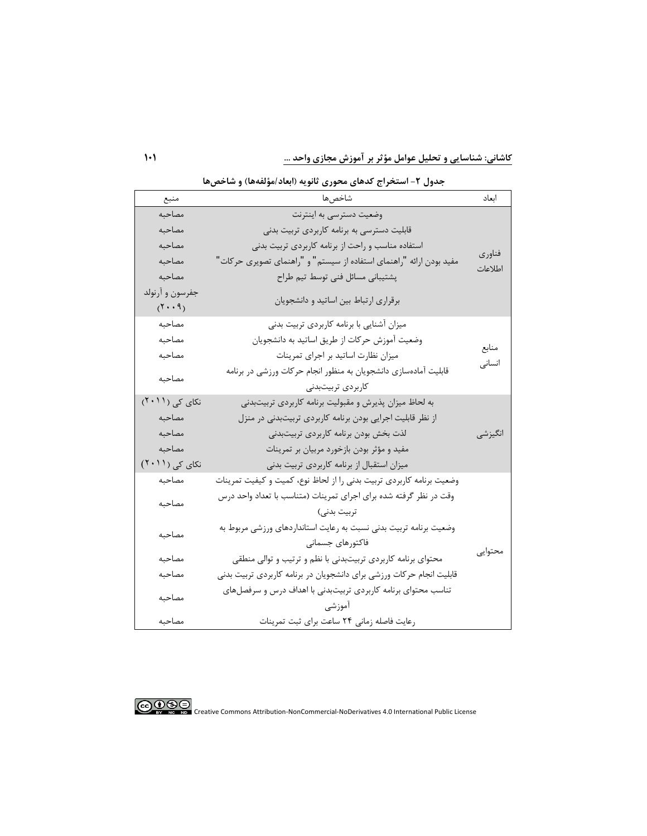**کاشانی: شناسا يی و تحلیل عوامل مؤثر بر آموزش مجازی واحد ...** 

| منبع                                   | <i>דנ</i> ט - <i>ד</i> י יידי<br>ر ن<br>شاخصها                       | اىعاد   |
|----------------------------------------|----------------------------------------------------------------------|---------|
| مصاحبه                                 | وضعیت دسترسی به اینترنت                                              |         |
| مصاحبه                                 | قابلیت دسترسی به برنامه کاربردی تربیت بدنی                           |         |
| مصاحبه                                 | استفاده مناسب و راحت از برنامه کاربردی تربیت بدنی                    |         |
| مصاحبه                                 | مفید بودن ارائه "راهنمای استفاده از سیستم" و "راهنمای تصویری حرکات"  | فناوري  |
| مصاحبه                                 | پشتیبانی مسائل فنی توسط تیم طراح                                     | اطلاعات |
| جفرسون و آرنولد<br>$(1 \cdot \cdot 9)$ | برقراری ارتباط بین اساتید و دانشجویان                                |         |
| مصاحبه                                 | میزان آشنایی با برنامه کاربردی تربیت بدنی                            |         |
| مصاحبه                                 | وضعیت آموزش حرکات از طریق اساتید به دانشجویان                        |         |
| مصاحبه                                 | میزان نظارت اساتید بر اجرای تمرینات                                  | منابع   |
|                                        | قابلیت آمادهسازی دانشجویان به منظور انجام حرکات ورزشی در برنامه      | انسانى  |
| مصاحبه                                 | كاربردى تربيتبدنى                                                    |         |
| نکای کی (۲۰۱۱)                         | به لحاظ میزان پذیرش و مقبولیت برنامه کاربردی تربیتبدنی               |         |
| مصاحبه                                 | از نظر قابلیت اجرایی بودن برنامه کاربردی تربیتبدنی در منزل           |         |
| مصاحبه                                 | لذت بخش بودن برنامه كاربردى تربيتبدنى                                | انگیزشی |
| مصاحبه                                 | مفید و مؤثر بودن بازخورد مربیان بر تمرینات                           |         |
| نکای کی (۲۰۱۱)                         | میزان استقبال از برنامه کاربردی تربیت بدنی                           |         |
| مصاحبه                                 | وضعيت برنامه كاربردي تربيت بدني را از لحاظ نوع، كميت و كيفيت تمرينات |         |
| مصاحبه                                 | وقت در نظر گرفته شده برای اجرای تمرینات (متناسب با تعداد واحد درس    |         |
|                                        | تربيت بدني)                                                          |         |
| مصاحبه                                 | وضعیت برنامه تربیت بدنی نسبت به رعایت استانداردهای ورزشی مربوط به    |         |
|                                        | فاكتورهاى جسمانى                                                     | محتوايي |
| مصاحبه                                 | محتوای برنامه کاربردی تربیتبدنی با نظم و ترتیب و توالی منطقی         |         |
| مصاحبه                                 | قابلیت انجام حرکات ورزشی برای دانشجویان در برنامه کاربردی تربیت بدنی |         |
| مصاحبه                                 | تناسب محتوای برنامه کاربردی تربیتبدنی با اهداف درس و سرفصلهای        |         |
|                                        | اموزشی                                                               |         |
| مصاحبه                                 | رعایت فاصله زمانی ٢۴ ساعت برای ثبت تمرینات                           |         |

**جدول -2 استخراج کدهای محوری ثانويه )ابعاد/مؤلفهها( و شاخصها** 

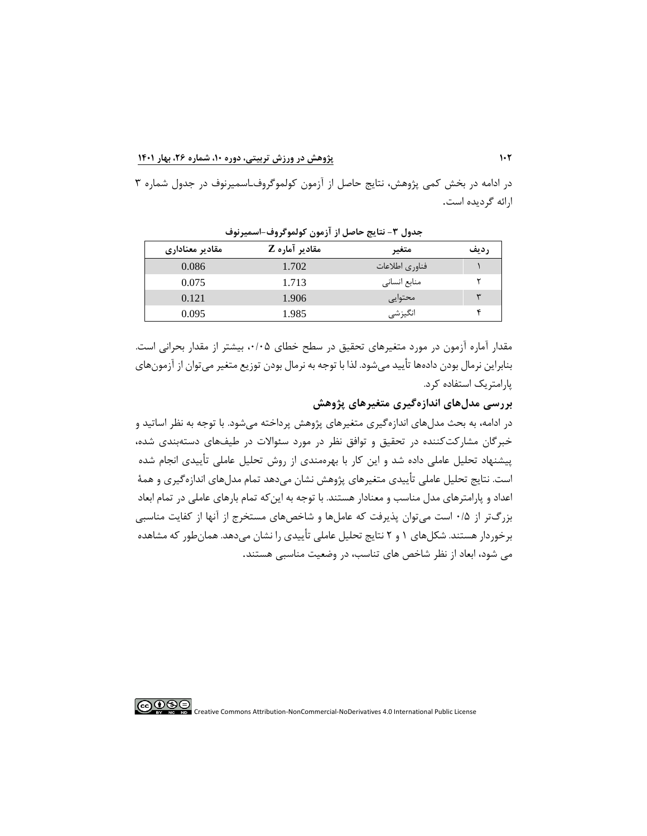در ادامه در بخش کمی پژوهش ، نتایج حاصل از آزمون کولموگروفـاسمیرنوف در جدول شماره 3 ارائه گردیده است.

| مقادير معناداري | مقادير آماره Z | متغير          | رديف |
|-----------------|----------------|----------------|------|
| 0.086           | 1.702          | فناوري اطلاعات |      |
| 0.075           | 1.713          | منابع انسانى   |      |
| 0.121           | 1.906          | محتوايي        |      |
| 0.095           | 1.985          | انگیزشی        |      |

**جدول -3 نتايج حاصل از آزمون کولموگروف-اسمیرنوف** 

مقدار آماره آزمون در مورد متغیرهای تحقیق در سطح خطای ،0/05 بیشتر از مقدار بحرانی است. بنابراین نرمال بودن دادهها تأیید میشود. لذا با توجه به نرمال بودن توزیع متغیر میتوان از آزمونهای پارامتریک استفاده کرد.

**بررسی مدلهای اندازهگیری متغیرهای پژوهش**

در ادامه، به بحث مدلهای اندازهگیری متغیرهای پژوهش پرداخته میشود. با توجه به نظر اساتید و خبرگان مشارکتکننده در تحقیق و توافق نظر در مورد سئوالات در طیفهای دستهبندی شده، پیشنهاد تحلیل عاملی داده شد و این کار با بهرهمندی از روش تحلیل عاملی تأییدی انجام شده است. نتایج تحلیل عاملی تأییدی متغیرهای پژوهش نشان میدهد تمام مدلهای اندازهگیری و همة اعداد و پارامترهای مدل مناسب و معنادار هستند. با توجه به اینکه تمام بارهای عاملی در تمام ابعاد بزرگتر از 0/5 است میتوان پذیرفت که عاملها و شاخصهای مستخرج از آنها از کفایت مناسبی برخوردار هستند. شکلهای 1 و 2 نتایج تحلیل عاملی تأییدی را نشان میدهد. همانطور که مشاهده می شود، ابعاد از نظر شاخص های تناسب، در وضعیت مناسبی هستند.

∣⊚⊕⊕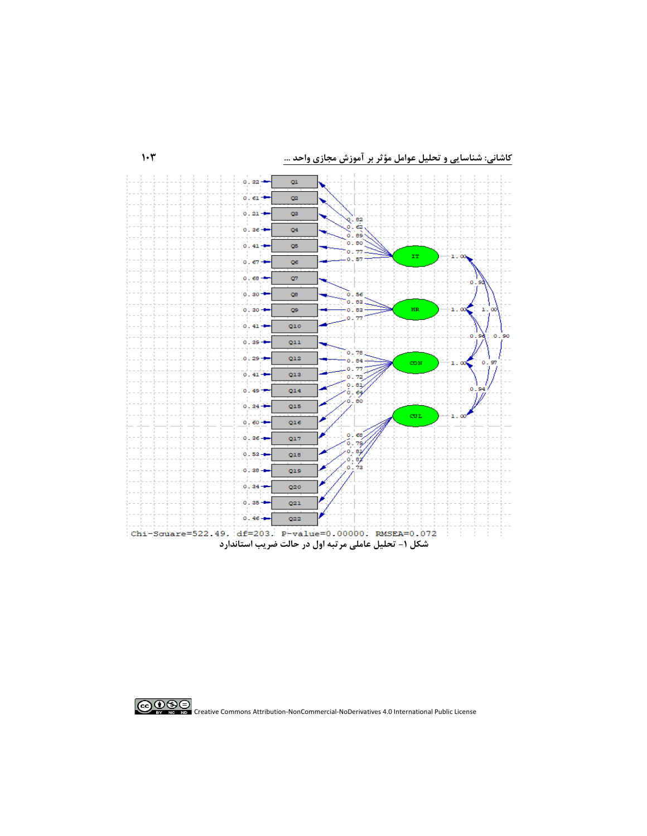**کاشانی: شناسا يی و تحلیل عوامل مؤثر بر آموزش مجازی واحد ...** 

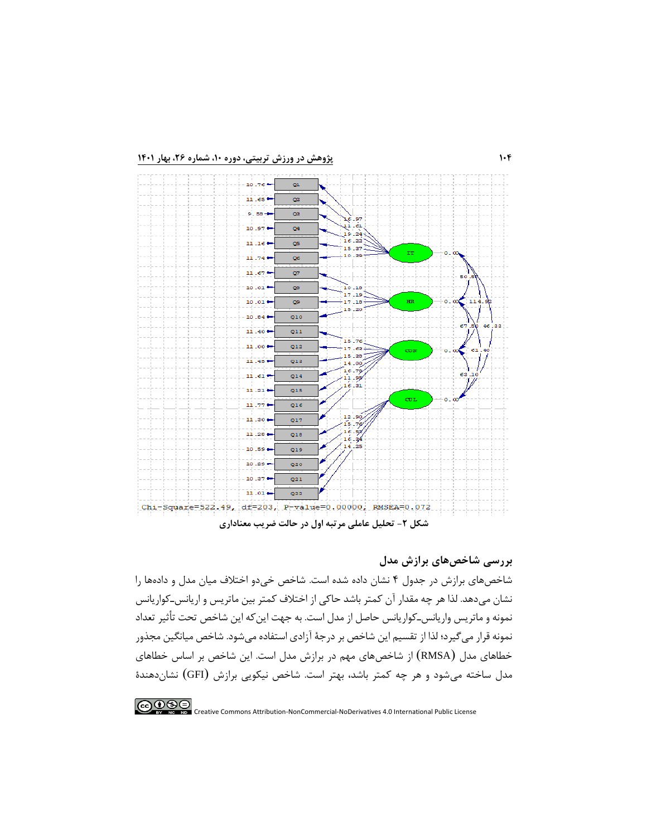

### **بررسی شاخصهای برازش مدل**

شاخصهای برازش در جدول 4 نشان داده شده است. شاخص خیدو اختالف میان مدل و دادهها را نشان میدهد. لذا هر چه مقدار آن کمتر باشد حاکی از اختالف کمتر بین ماتریس و اریانسـکواریانس نمونه و ماتریس واریانسـ کواریانس حاصل از مدل است. به جهت اینکه این شاخص تحت تأثیر تعداد نمونه قرار میگیرد؛ لذا از تقسیم این شاخص بر درجة آزادی استفاده میشود. شاخص میانگین مجذور خطاهای مدل ) RMSA )از شاخصهای مهم در برازش مدل است. این شاخص بر اساس خطاهای مدل ساخته میشود و هر چه کمتر باشد، بهتر است. شاخص نیکویی برازش )GFI )نشان دهندة

 $\bigodot_{\tiny{\begin{array}{l} N\mid\mathcal{B}\mid\mathcal{B}\mid\mathcal{B}\mid\mathcal{B}\mid\mathcal{B}\mid\mathcal{B}\mid\mathcal{B}\mid\mathcal{B}\mid\mathcal{B}\mid\mathcal{B}\mid\mathcal{B}\mid\mathcal{B}\mid\mathcal{B}\mid\mathcal{B}\mid\mathcal{B}\mid\mathcal{B}\mid\mathcal{B}\mid\mathcal{B}\mid\mathcal{B}\mid\mathcal{B}\mid\mathcal{B}\mid\mathcal{B}\mid\mathcal{B}\mid\mathcal{B}\mid\mathcal{B}\mid\mathcal{B}\mid\mathcal{B}\mid\mathcal{B}\mid\mathcal{B}\mid$ Creative Commons Attribution-NonCommercial-NoDerivatives 4.0 International Public License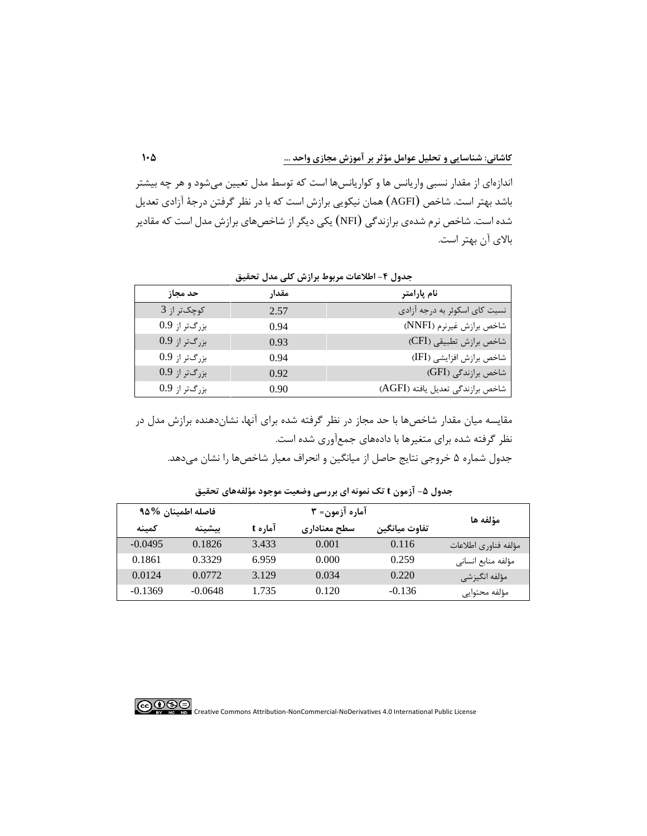اندازهای از مقدار نسبی واریانس ها و کواریانسها است که توسط مدل تعیین میشود و هر چه بیشتر باشد بهتر است. شاخص )AGFI )همان نیکویی برازش است که با در نظر گرفتن درجة آزادی تعدیل شده است. شاخص نرم شدهی برازندگی ) NFI )یکی دیگر از شاخصهای برازش مدل است که مقادیر باالی آن بهتر است.

| حد مجاز         | مقدار | نام پارامتر                      |
|-----------------|-------|----------------------------------|
| کوچکتر از 3     | 2.57  | نسبت کای اسکوئر به درجه آزادی    |
| بزرگتر از 0.9   | 0.94  | شاخص برازش غيرنرم (NNFI)         |
| $0.9$ بزرگتر از | 0.93  | شاخص برازش تطبيقي (CFI)          |
| بزرگتر از 0.9   | 0.94  | شاخص برازش افزايشي (IFI)         |
| بزرگتر از 0.9   | 0.92  | شاخص برازندگی (GFI)              |
| بزرگتر از 0.9   | 0.90  | شاخص برازندگی تعدیل یافته (AGFI) |

**جدول -4 اطالعات مربوط برازش کلی مدل تحقیق** 

مقایسه میان مقدار شاخصها با حد مجاز در نظر گرفته شده برای آنها، نشاندهنده برازش مدل در نظر گرفته شده برای متغیرها با دادههای جمعآوری شده است. جدول شماره ۵ خروجی نتایج حاصل از میانگین و انحراف معیار شاخصها را نشان میدهد.

|           | فاصله اطمينان %۹۵ |         | آماره آزمون= ۳ |               | مؤلفه ها             |
|-----------|-------------------|---------|----------------|---------------|----------------------|
| كمينه     | بيشينه            | آماره t | سطح معناداري   | تفاوت ميانگين |                      |
| $-0.0495$ | 0.1826            | 3.433   | 0.001          | 0.116         | مؤلفه فناوري اطلاعات |
| 0.1861    | 0.3329            | 6.959   | 0.000          | 0.259         | مؤلفه منابع انسانى   |
| 0.0124    | 0.0772            | 3.129   | 0.034          | 0.220         | مؤلفه انگیزشی        |
| $-0.1369$ | $-0.0648$         | 1.735   | 0.120          | $-0.136$      | مؤلفه محتوايي        |

جدول **۵- آزمون t تک نمونه ای بررسی وضعیت موجود مؤلفههای تحقیق** 

 $\bigcirc$   $\bigcirc$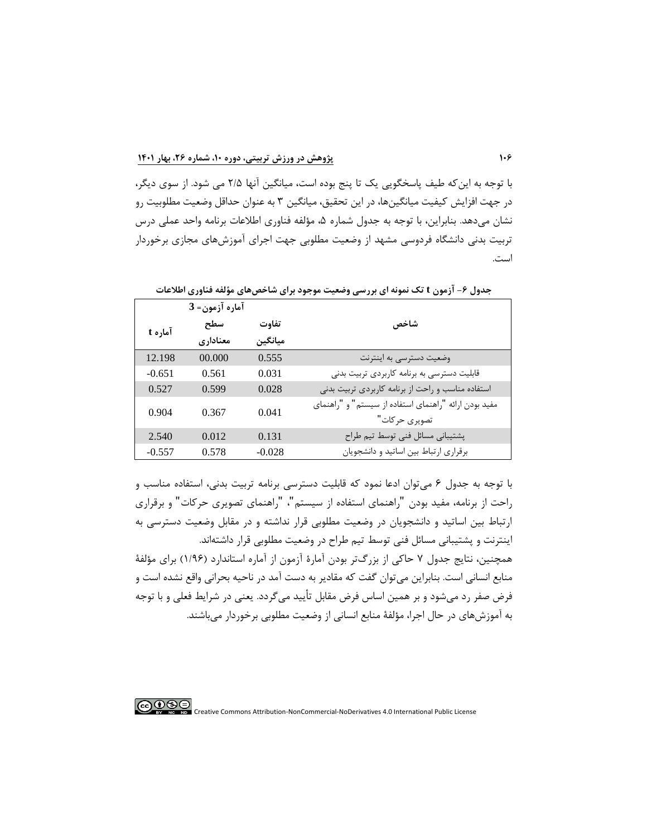با توجه به اینکه طیف پاسخگویی یک تا پنج بوده است، میانگین آنها 2/5 می شود. از سوی دیگر، در جهت افزایش کیفیت میانگینها، در این تحقیق، میانگین 3 به عنوان حداقل وضعیت مطلوبیت رو نشان میدهد. بنابراین، با توجه به جدول شماره ۵، مؤلفه فناوری اطلاعات برنامه واحد عملی درس تربیت بدنی دانشگاه فردوسی مشهد از وضعیت مطلوبی جهت اجرای آموزش های مجازی برخوردار است.

|          | آماره آزمون= 3  |                  |                                                                        |
|----------|-----------------|------------------|------------------------------------------------------------------------|
| آماره t  | سطح<br>معناداري | تفاوت<br>مبانگین | شاخص                                                                   |
|          |                 |                  |                                                                        |
| 12.198   | 00.000          | 0.555            | وضعیت دسترسی به اینترنت                                                |
| $-0.651$ | 0.561           | 0.031            | قابلیت دسترسی به برنامه کاربردی تربیت بدنی                             |
| 0.527    | 0.599           | 0.028            | استفاده مناسب و راحت از برنامه كاربردى تربيت بدنى                      |
| 0.904    | 0.367           | 0.041            | مفید بودن ارائه "راهنمای استفاده از سیستم" و "راهنمای<br>تصويري حركات" |
| 2.540    | 0.012           | 0.131            | پشتیبانی مسائل فنی توسط تیم طراح                                       |
| $-0.557$ | 0.578           | $-0.028$         | برقراری ارتباط بین اساتید و دانشجویان                                  |

**جدول -6 آزمون t تک نمونه ای بررسی وضعیت موجود برای شاخصهای مؤلفه فناوری اطالعات** 

با توجه به جدول 6 میتوان ادعا نمود که قابلیت دسترسی برنامه تربیت بدنی، استفاده مناسب و راحت از برنامه، مفید بودن "راهنمای استفاده از سیستم"، "راهنمای تصویری حرکات" و برقراری ارتباط بین اساتید و دانشجویان در وضعیت مطلوبی قرار نداشته و در مقابل وضعیت دسترسی به اینترنت و پشتیبانی مسائل فنی توسط تیم طراح در وضعیت مطلوبی قرار داشته اند. همچنین، نتایج جدول 7 حاکی از بزرگتر بودن آمارة آزمون از آماره استاندارد )1/96( برای مؤلفة منابع انسانی است. بنابراین میتوان گفت که مقادیر به دست آمد در ناحیه بحرانی واقع نشده است و فرض صفر رد میشود و بر همین اساس فرض مقابل تأیید میگردد. یعنی در شرایط فعلی و با توجه به آموزش های در حال اجرا، مؤلفة منابع انسانی از وضعیت مطلوبی برخوردار میباشند.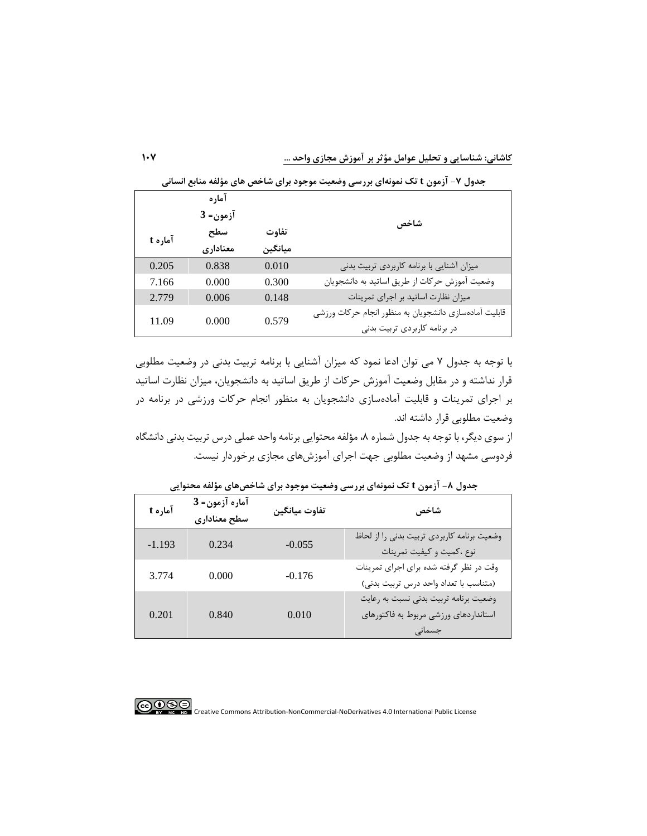| د، سو   | ם יכי ד  |         | י־נטי ע־נט־                                           |
|---------|----------|---------|-------------------------------------------------------|
|         | آماره    |         |                                                       |
|         | آزمون= 3 |         | شاخص                                                  |
|         | سطح      | تفاوت   |                                                       |
| آماره t | معناداري | ميانگين |                                                       |
| 0.205   | 0.838    | 0.010   | میزان آشنایی با برنامه کاربردی تربیت بدنی             |
| 7.166   | 0.000    | 0.300   | وضعیت آموزش حرکات از طریق اساتید به دانشجویان         |
| 2.779   | 0.006    | 0.148   | میزان نظارت اساتید بر اجرای تمرینات                   |
| 11.09   | 0.000    | 0.579   | قابلیت آمادهسازی دانشجویان به منظور انجام حرکات ورزشی |
|         |          |         | در برنامه کاربردی تربیت بدنی                          |

**جدول -7 آزمون t تک نمونهای بررسی وضعیت موجود برای شاخص های مؤلفه منابع انسانی** 

با توجه به جدول 7 می توان ادعا نمود که میزان آشنایی با برنامه تربیت بدنی در وضعیت مطلوبی قرار نداشته و در مقابل وضعیت آموزش حرکات از طریق اساتید به دانشجویان، میزان نظارت اساتید بر اجرای تمرینات و قابلیت آمادهسازی دانشجویان به منظور انجام حرکات ورزشی در برنامه در وضعیت مطلوبی قرار داشته اند.

از سوی دیگر، با توجه به جدول شماره ۸، مؤلفه محتوایی برنامه واحد عملی درس تربیت بدنی دانشگاه فردوسی مشهد از وضعیت مطلوبی جهت اجرای آموزش های مجازی برخوردار نیست.

| آماره t  | آماره آزمون= 3<br>سطح معنادارى | تفاوت ميانگين | شاخص                                                                                     |
|----------|--------------------------------|---------------|------------------------------------------------------------------------------------------|
| $-1.193$ | 0.234                          | $-0.055$      | وضعيت برنامه كاربردي تربيت بدني را از لحاظ<br>نوع ،كميت و كيفيت تمرينات                  |
| 3.774    | 0.000                          | $-0.176$      | وقت در نظر گرفته شده برای اجرای تمرینات<br>(متناسب با تعداد واحد درس تربيت بدني)         |
| 0.201    | 0.840                          | 0.010         | وضعیت برنامه تربیت بدنی نسبت به رعایت<br>استانداردهای ورزشی مربوط به فاکتورهای<br>جسمانى |

**جدول -8 آزمون t تک نمونهای بررسی وضعیت موجود برای شاخصهای مؤلفه محتوايی** 

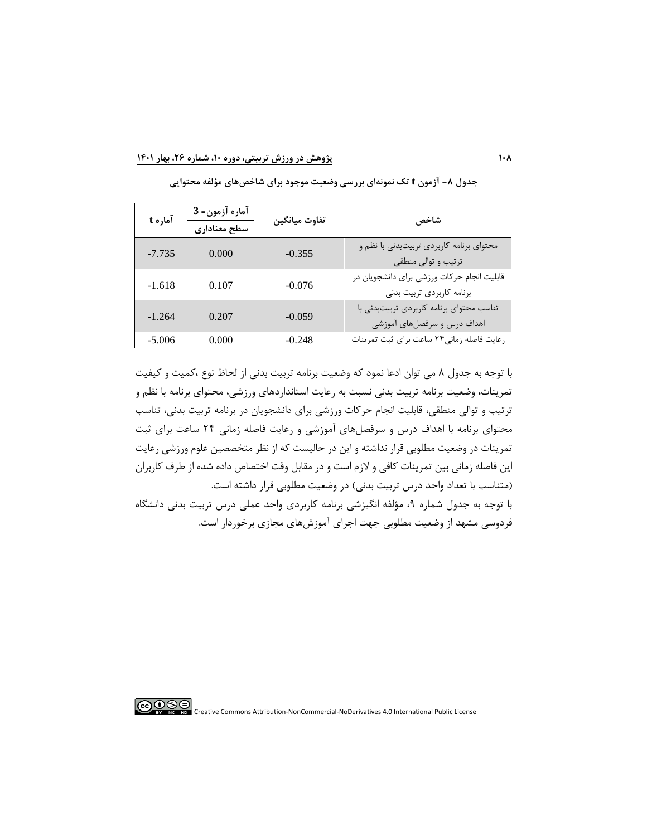| آماره t  | آماره آزمون= 3<br>سطح معنادارى | تفاوت ميانگين | شاخص                                                                    |
|----------|--------------------------------|---------------|-------------------------------------------------------------------------|
| $-7.735$ | 0.000                          | $-0.355$      | محتوای برنامه کاربردی تربیتبدنی با نظم و<br>ترتیب و توالی منطقی         |
| $-1.618$ | 0.107                          | $-0.076$      | قابلیت انجام حرکات ورزشی برای دانشجویان در<br>برنامه كاربردي تربيت بدنى |
| $-1.264$ | 0.207                          | $-0.059$      | تناسب محتوای برنامه کاربردی تربیتبدنی با<br>اهداف درس و سرفصلهای آموزشی |
| $-5.006$ | 0.000                          | $-0.248$      | رعايت فاصله زمانى٢۴ ساعت براى ثبت تمرينات                               |

**جدول -8 آزمون t تک نمونهای بررسی وضعیت موجود برای شاخصهای مؤلفه محتوايی** 

با توجه به جدول 8 می توان ادعا نمود که وضعیت برنامه تربیت بدنی از لحاظ نوع ،کمیت و کیفیت تمرینات، وضعیت برنامه تربیت بدنی نسبت به رعایت استانداردهای ورزشی، محتوای برنامه با نظم و ترتیب و توالی منطقی، قابلیت انجام حرکات ورزشی برای دانشجویان در برنامه تربیت بدنی ، تناسب محتوای برنامه با اهداف درس و سرفصلهای آموزشی و رعایت فاصله زمانی 24 ساعت برای ثبت تمرینات در وضعیت مطلوبی قرار نداشته و این در حالیست که از نظر متخصصین علوم ورزشی رعایت این فاصله زمانی بین تمرینات کافی و الزم است و در مقابل وقت اختصاص داده شده از طرف کاربران )متناسب با تعداد واحد درس تربیت بدنی ( در وضعیت مطلوبی قرار داشته است. با توجه به جدول شماره ،9 مؤلفه انگیزشی برنامه کاربردی واحد عملی درس تربیت بدنی دانشگاه فردوسی مشهد از وضعیت مطلوبی جهت اجرای آموزش های مجازی برخوردار است.

<u> @®®</u>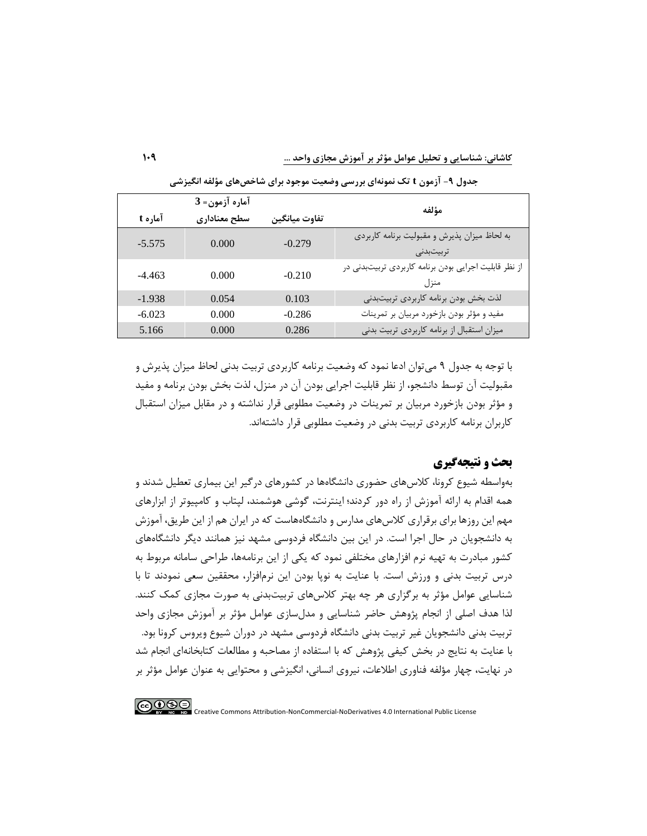**کاشانی: شناسا يی و تحلیل عوامل مؤثر بر آموزش مجازی واحد ...** 

|          | آماره آزمون= 3 |               |                                                               |
|----------|----------------|---------------|---------------------------------------------------------------|
| آماره t  | سطح معنادارى   | تفاوت ميانگين | مؤلفه                                                         |
| $-5.575$ | 0.000          | $-0.279$      | به لحاظ میزان پذیرش و مقبولیت برنامه کاربردی<br>تربيتبدنى     |
| $-4.463$ | 0.000          | $-0.210$      | از نظر قابلیت اجرایی بودن برنامه کاربردی تربیتبدنی در<br>منزل |
| $-1.938$ | 0.054          | 0.103         | لذت بخش بودن برنامه كاربردى تربيتبدنى                         |
| $-6.023$ | 0.000          | $-0.286$      | مفید و مؤثر بودن بازخورد مربیان بر تمرینات                    |
| 5.166    | 0.000          | 0.286         | میزان استقبال از برنامه کاربردی تربیت بدنی                    |

**جدول -9 آزمون t تک نمونهای بررسی وضعیت موجود برای شاخصهای مؤلفه انگیزشی** 

با توجه به جدول 9 میتوان ادعا نمود که وضعیت برنامه کاربردی تربیت بدنی لحاظ میزان پذیرش و مقبولیت آن توسط دانشجو، از نظر قابلیت اجرایی بودن آن در منزل، لذت بخش بودن برنامه و مفید و مؤثر بودن بازخورد مربیان بر تمرینات در وضعیت مطلوبی قرار نداشته و در مقابل میزان استقبال کاربران برنامه کاربردی تربیت بدنی در وضعیت مطلوبی قرار داشتهاند.

### **بحث و نتیجه گیری**

بهواسطه شیوع کرونا، کالسهای حضوری دانشگاهها در کشورهای درگیر این بیماری تعطیل شدند و همه اقدام به ارائه آموزش از راه دور کردند؛ اینترنت، گوشی هوشمند، لپتاب و کامپیوتر از ابزارهای مهم این روزها برای برقراری کالسهای مدارس و دانشگاههاست که در ایران هم از این طریق، آموزش به دانشجویان در حال اجرا است. در این بین دانشگاه فردوسی مشهد نیز همانند دیگر دانشگاههای کشور مبادرت به تهیه نرم افزارهای مختلفی نمود که یکی از این برنامهها، طراحی سامانه مربوط به درس تربیت بدنی و ورزش است. با عنایت به نوپا بودن این نرمافزار، محققین سعی نمودند تا ب ا شناسایی عوامل مؤثر به برگزاری هر چه بهتر کالس های تربیتبدنی به صورت مجازی کمک کنند. لذا هدف اصلی از انجام پژوهش حاضر شناسایی و مدلسازی عوامل مؤثر بر آموزش مجازی واحد تربیت بدنی دانشجویان غیر تربیت بدنی دانشگاه فردوسی مشهد در دوران شیوع ویروس کرونا بود. با عنایت به نتایج در بخش کیفی پژوهش که با استفاده از مصاحبه و مطالعات کتابخانهای انجام شد در نهایت، چهار مؤلفه فناوری اطالعات، نیروی انسانی، انگیزشی و محتوایی به عنوان عوامل مؤثر بر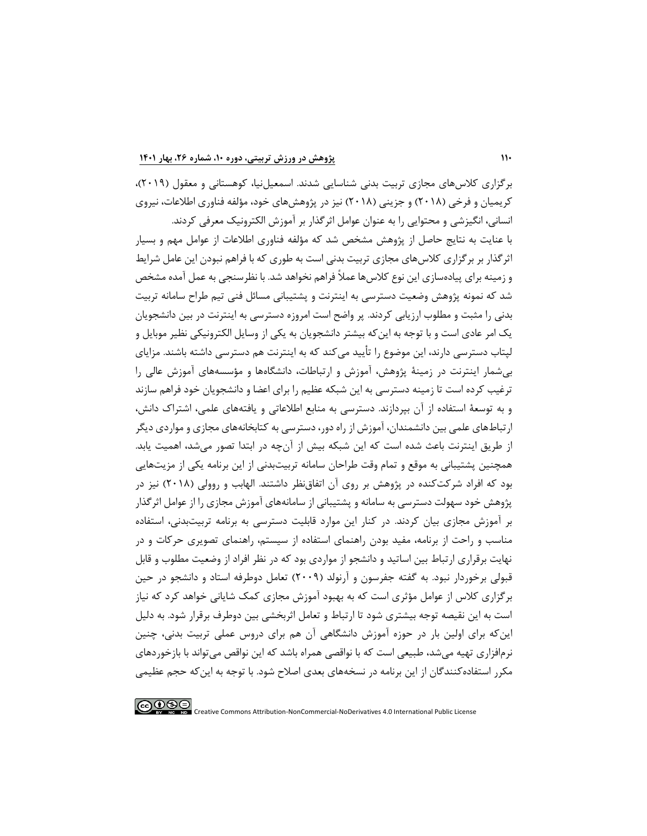برگزاری کالس های مجازی تربیت بدنی شناسایی شدند. اسمعیلنیا، کوهستانی و معقول )2019(، کریمیان و فرخی )2018( و جزینی )2018( نیز در پژوهشهای خود، مؤلفه فناوری اطالعات، نیروی انسانی، انگیزشی و محتوایی را به عنوان عوامل اثرگذار بر آموزش الکترونیک معرفی کردند. با عنایت به نتایج حاصل از پژوهش مشخص شد که مؤلفه فناوری اطالعات از عوامل مهم و بسیار اثرگذار بر برگزاری کالس های مجازی تربیت بدنی است به طوری که با فراهم نبودن این عامل شرایط و زمینه برای پیادهسازی این نوع کالسها عمالً فراهم نخواهد شد. با نظرسنجی به عمل آمده مشخص شد که نمونه پژوهش وضعیت دسترسی به اینترنت و پشتیبانی مسائل فنی تیم طراح سامانه تربیت بدنی را مثبت و مطلوب ارزیابی کردند. پر واضح است امروزه دسترسی به اینترنت در بین دانشجویان یک امر عادی است و با توجه به اینکه بیشتر دانشجویان به یکی از وسایل الکترونیکی نظیر موبایل و لپتاب دسترسی دارند، این موضوع را تأیید میکند که به اینترنت هم دسترسی داشته باشند. مزایای بیشمار اینترنت در زمینة پژوهش، آموزش و ارتباطات، دانشگاهها و مؤسسههای آموزش عالی را ترغیب کرده است تا زمینه دسترسی به این شبکه عظیم را برای اعضا و دانشجویان خود فراهم سازند و به توسعة استفاده از آن بپردازند. دسترسی به منابع اطالعاتی و یافتههای علمی، اشتراک دانش، ارتباطهای علمی بین دانشمندان، آموزش از راه دور، دسترسی به کتابخانههای مجازی و مواردی دیگر از طریق اینترنت باعث شده است که این شبکه بیش از آنچه در ابتدا تصور میشد، اهمیت یابد. همچنین پشتیبانی به موقع و تمام وقت طراحان سامانه تربیتبدنی از این برنامه یکی از مزیتهایی بود که افراد شرکت کنده در پژوهش بر روی آن اتفاق نظر داشتند. الهابب و روولی )2018( نیز در پژوهش خود سهولت دسترسی به سامانه و پشتیبانی از سامانههای آموزش مجازی را از عوامل اثرگذار بر آموزش مجازی بیان کردند. در کنار این موارد قابلیت دسترسی به برنامه تربیتبدنی، استفاده مناسب و راحت از برنامه، مفید بودن راهنمای استفاده از سیستم، راهنمای تصویری حرکات و در نهایت برقراری ارتباط بین اساتید و دانشجو از مواردی بود که در نظر افراد از وضعیت مطلوب و قابل قبولی برخوردار نبود. به گفته جفرسون و آرنولد )2009( تعامل دوطرفه استاد و دانشجو در حین برگزاری کالس از عوامل مؤثری است که به بهبود آموزش مجازی کمک شایانی خواهد کرد که نیاز است به این نقیصه توجه بیشتری شود تا ارتباط و تعامل اثربخشی بین دوطرف برقرار شود. به دلیل اینکه برای اولین بار در حوزه آموزش دانشگاهی آن هم برای دروس عملی تربیت بدنی، چنین نرمافزاری تهیه میشد، طبیعی است که با نواقصی همراه باشد که این نواقص میتواند با بازخوردهای مکرر استفادهکنندگان از این برنامه در نسخههای بعدی اصالح شود. با توجه به این که حجم عظیمی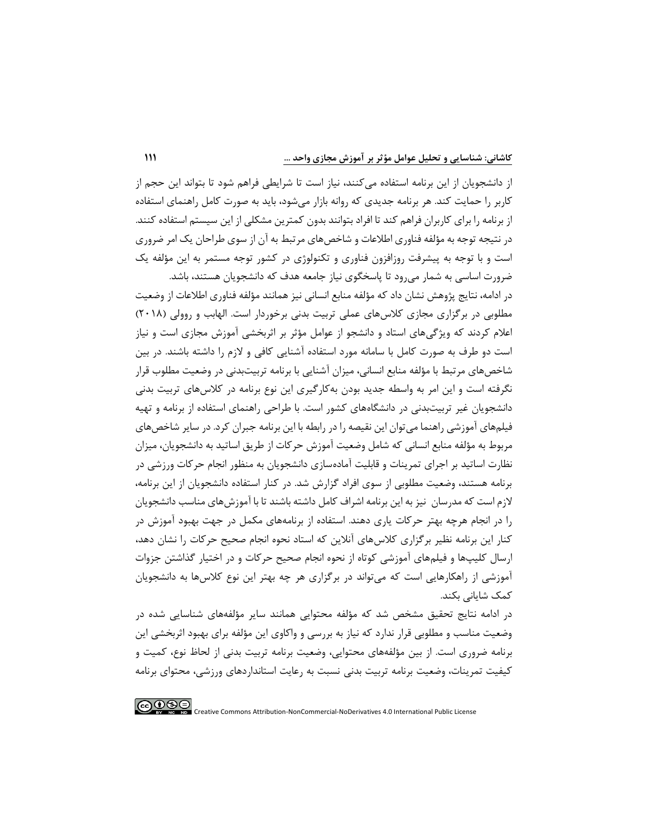از دانشجویان از این برنامه استفاده میکنند، نیاز است تا شرایطی فراهم شود تا بتواند این حجم از کاربر را حمایت کند. هر برنامه جدیدی که روانه بازار میشود، باید به صورت کامل راهنمای استفاده از برنامه را برای کاربران فراهم کند تا افراد بتوانند بدون کمترین مشکلی از این سیستم استفاده کنند. در نتیجه توجه به مؤلفه فناوری اطالعات و شاخصهای مرتبط به آن از سوی طراحان یک امر ضروری است و با توجه به پیشرفت روزافزون فناوری و تکنولوژی در کشور توجه مستمر به این مؤلفه یک ضرورت اساسی به شمار میرود تا پاسخگوی نیاز جامعه هدف که دانشجویان هستند، باشد.

در ادامه، نتایج پژوهش نشان داد که مؤلفه منابع انسانی نیز همانند مؤلفه فناوری اطالعات از وضعیت مطلوبی در برگزاری مجازی کالسهای عملی تربیت بدنی برخوردار است. الهابب و روولی )2018( اعالم کردند که ویژگیهای استاد و دانشجو از عوامل مؤثر بر اثربخشی آموزش مجازی است و نیاز است دو طرف به صورت کامل با سامانه مورد استفاده آشنایی کافی و الزم را داشته باشند. در بین شاخصهای مرتبط با مؤلفه منابع انسانی، میزان آشنایی با برنامه تربیتبدنی در وضعیت مطلوب قرار نگرفته است و این امر به واسطه جدید بودن بهکارگیری این نوع برنامه در کالسهای تربیت بدنی دانشجویان غیر تربیت بدنی در دانشگاههای کشور است. با طراحی راهنمای استفاده از برنامه و تهیه فیلمهای آموزشی راهنما میتوان این نقیصه را در رابطه با این برنامه جبران کرد. در سایر شاخصهای مربوط به مؤلفه منابع انسانی که شامل وضعیت آموزش حرکات از طریق اساتید به دانشجویان، میزان نظارت اساتید بر اجرای تمرینات و قابلیت آمادهسازی دانشجویان به منظور انجام حرکات ورزشی در برنامه هستند، وضعیت مطلوبی از سوی افراد گزارش شد. در کنار استفاده دانشجویان از این برنامه، الزم است که مدرسان نیز به این برنامه اشراف کامل داشته باشند تا با آموزشهای مناسب دانشجویان را در انجام هرچه بهتر حرکات یاری دهند. استفاده از برنامههای مکمل در جهت بهبود آموزش در کنار این برنامه نظیر برگزاری کالسهای آنالین که استاد نحوه انجام صحیح حرکات را نشان دهد، ارسال کلیپها و فیلمهای آموزشی کوتاه از نحوه انجام صحیح حرکات و در اختیار گذاشتن جزوات آموزشی از راهکارهایی است که میتواند در برگزاری هر چه بهتر این نوع کالسها به دانشجویان کمک شایانی بکند.

در ادامه نتایج تحقیق مشخص شد که مؤلفه محتوایی همانند سایر مؤلفه های شناسایی شده در وضعیت مناسب و مطلوبی قرار ندارد که نیاز به بررسی و واکاوی این مؤلفه برای بهبود اثربخشی این برنامه ضروری است. از بین مؤلفه های محتوایی، وضعیت برنامه تربیت بدنی از لحاظ نوع، کمیت و کیفیت تمرینات، وضعیت برنامه تربیت بدنی نسبت به رعایت استانداردهای ورزشی، محتوای برنامه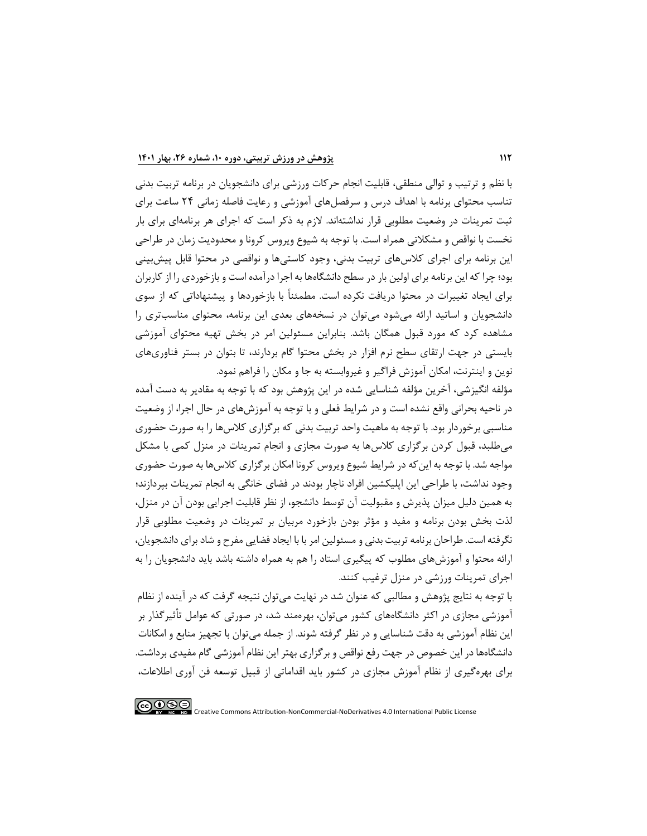با نظم و ترتیب و توالی منطقی، قابلیت انجام حرکات ورزشی برای دانشجویان در برنامه تربیت بدنی تناسب محتوای برنامه با اهداف درس و سرفصلهای آموزشی و رعایت فاصله زم انی 24 ساعت برای ثبت تمرینات در وضعیت مطلوبی قرار نداشته اند. الزم به ذکر است که اجرای هر برنامهای برای بار نخست با نواقص و مشکالتی همراه است. با توجه به شیوع ویروس کرونا و محدودیت زمان در طراحی این برنامه برای اجرای کلاسهای تربیت بدنی، وجود کاستیها و نواقصی در محتوا قابل پیش بینی بود؛ چرا که این برنامه برای اولین بار در سطح دانشگاهها به اجرا درآمده است و بازخوردی را از کاربران برای ایجاد تغییرات در محتوا دریافت نکرده است. مطمئناً با بازخوردها و پیشنهاداتی که از سوی دانشجویان و اساتید ارائه می شود می توان در نسخههای بعدی این برنامه، محتوای مناسبتری را مشاهده کرد که مورد قبول همگان باشد. بنابراین مسئولین امر در بخش تهیه محتوای آموزشی بایستی در جهت ارتقای سطح نرم افزار در بخش محتوا گام بردارند، تا بتوان در بستر فناوریهای نوین و اینترنت، امکان آموزش فراگیر و غیروابسته به جا و مکان را فراهم نمود.

مؤلفه انگیزشی، آخرین مؤلفه شناسایی شده در این پژوهش بود که با توجه به مقادیر به دست آمده در ناحیه بحرانی واقع نشده است و در شرایط فعلی و با توجه به آموزش های در حال اجرا، از وضعیت مناسبی برخوردار بود. با توجه به ماهیت واحد تربیت بدنی که برگزاری کالسها را به صورت حضوری میطلبد، قبول کردن برگزاری کالسها به صورت مجازی و انجام تمرینات در منزل کمی با مشکل مواجه شد. با توجه به اینکه در شرایط شیوع ویروس کرونا امکان برگزاری کالس ها به صورت حضوری وجود نداشت، با طراحی این اپلیکشین افراد ناچار بودند در فضای خانگی به انجام تمرینات بپردازند؛ به همین دلیل میزان پذیرش و مقبولیت آن توسط دانشجو، از نظر قابلیت اجرایی بودن آن در منزل، لذت بخش بودن برنامه و مفید و مؤثر بودن بازخورد مربیان بر تمرینات در وضعیت مطلوبی قرار نگرفته است. طراحان برنامه تربیت بدنی و مسئولین امر با با ایجاد فضایی مفرح و شاد برای دانشجویان، ارائه محتوا و آموزش های مطلوب که پیگیری استاد را هم به همراه داشته باشد باید دانشجویان را به اجرای تمرینات ورزشی در منزل ترغیب کنند.

با توجه به نتایج پژوهش و مطالبی که عنوان شد در نهایت میتوان نتیجه گرفت که در آینده از نظام آموزشی مجازی در اکثر دانشگاههای کشور می توان، بهره مند شد، در صورتی که عوامل تأثیرگذار بر این نظام آموزشی به دقت شناسایی و در نظر گرفته شوند. از جمله میتوان با تجهیز منابع و امکانات دانشگاههادر این خصوص در جهت رفع نواقص و برگزاری بهتر این نظام آموزشی گام مفیدی برداشت. برای بهرهگیری از نظام آموزش مجازی در کشور باید اقداماتی از قبیل توسعه فن آوری اطالعات،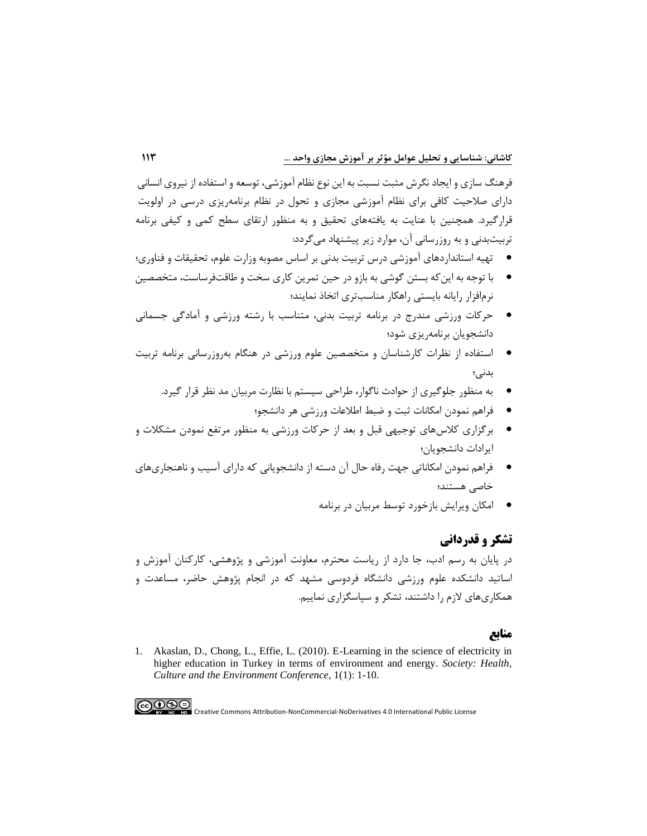فرهنگ سازی و ایجاد نگرش مثبت نسبت به این نوع نظام آموزشی، توسعه و استفاده از نیروی انسانی دارای صالحیت کافی برای نظام آموزشی مجازی و تحول در نظام برنامهریزی درسی در اولویت قرارگیرد. همچنین با عنایت به یافتههای تحقیق و به منظور ارتقای سطح کمی و کیفی برنامه تربیتبدنی و به روزرسانی آن، موارد زیر پیشنهاد میگردد:

- تهیه استانداردهای آموزشی درس تربیت بدنی بر اساس مصوبه وزارت علوم، تحقیقات و فناوری؛
- با توجه به اینکه بستن گوشی به بازو در حین تمرین کاری سخت و طاقتفرساست، متخصصین نرمافزار رایانه بایستی راهکار مناسبتری اتخاذ نمایند؛
- حرکات ورزشی مندرج در برنامه تربیت بدنی، متناسب با رشته ورزشی و آمادگی جسمانی دانشجویان برنامهریزی شود؛
- استفاده از نظرات کارشناسان و متخصصین علوم ورزشی در هنگام بهروزرسانی برنامه تربیت بدنی؛
	- به منظور جلوگیری از حوادث ناگوار، طراحی سیستم با نظارت مربیان مد نظر قرار گیرد.
		- فراهم نمودن امکانات ثبت و ضبط اطالعات ورزشی هر دانشجو؛
- برگزاری کالسهای توجیهی قبل و بعد از حرکات ورزشی به منظور مرتفع نمودن مشکالت و ایرادات دانشجویان؛
- فراهم نمودن امکاناتی جهت رفاه حال آن دسته از دانشجویانی که دارای آسیب و ناهنجاریهای خاصی هستند؛
	- امکان ویرایش بازخورد توسط مربیان در برنامه

### **تشکر و قدردانی**

در پایان به رسم ادب، جا دارد از ریاست محترم، معاونت آموزشی و پژوهشی، کارکنان آموزش و اساتید دانشکده علوم ورزشی دانشگاه فردوسی مشهد که در انجام پژوهش حاضر، مساعدت و همکاریهای الزم را داشتند، تشکر و سپاسگزاری نماییم.

### **منابع**

1. [Akaslan, D., Chong, L., Effie, L. \(2010\). E-Learning in the science of electricity in](https://citeseerx.ist.psu.edu/viewdoc/download?doi=10.1.1.367.287&rep=rep1&type=pdf)  [higher education in Turkey in terms of environment and energy.](https://citeseerx.ist.psu.edu/viewdoc/download?doi=10.1.1.367.287&rep=rep1&type=pdf) *Society: Health, Culture and the [Environment Conference](https://citeseerx.ist.psu.edu/viewdoc/download?doi=10.1.1.367.287&rep=rep1&type=pdf)*, 1(1): 1-10.

 $\bigodot \limits_{\scriptscriptstyle \mathbf{F}} \bigodot \limits_{\scriptscriptstyle \mathbf{F}} \bigodot \limits_{\scriptscriptstyle \mathbf{F}} \bigodot \limits_{\scriptscriptstyle \mathbf{F}} \ \bigodot$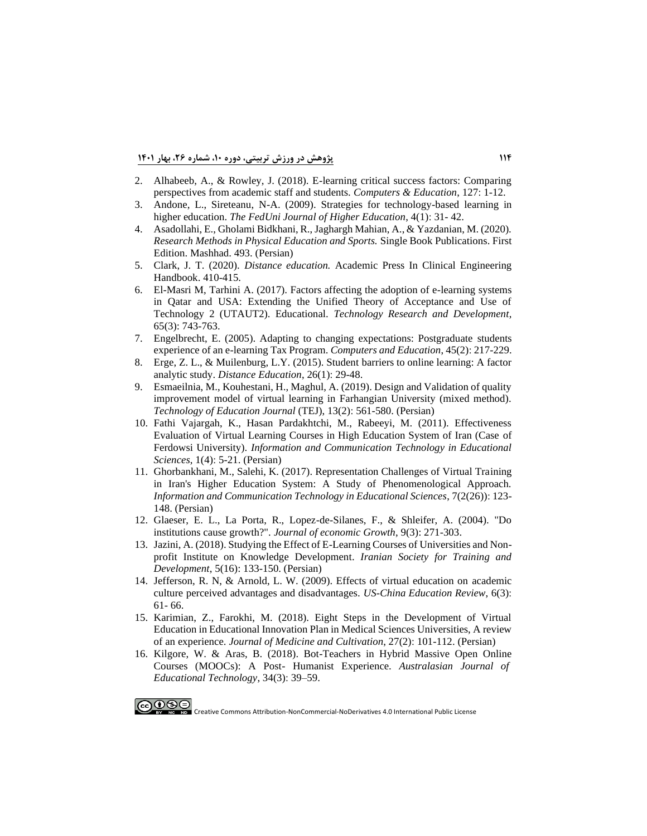**114 پژوهش در ورزش تربیتی، دوره ،10 شماره ،26 بهار 1401**

- 2. [Alhabeeb, A., & Rowley, J. \(2018\). E-learning critical success factors: Comparing](https://e-space.mmu.ac.uk/621397/1/RowleyCAE-D-18-00039.pdf)  [perspectives from academic staff and students.](https://e-space.mmu.ac.uk/621397/1/RowleyCAE-D-18-00039.pdf) *Computers & Education*, 127: 1-12.
- 3. [Andone, L., Sireteanu, N-A. \(2009\). Strategies for technology-based learning in](https://www.sid.ir/FileServer/JF/25613931702.pdf)  higher education. *[The FedUni Journal of Higher Education](https://www.sid.ir/FileServer/JF/25613931702.pdf)*, 4(1): 31- 42.
- 4. Asadollahi, E., Gholami Bidkhani, R., Jaghargh Mahian, A., & Yazdanian, M. (2020). *Research Methods in Physical Education and Sports.* Single Book Publications. First Edition. Mashhad. 493. (Persian)
- 5. Clark, J. T. (2020). *Distance education.* Academic Press In [Clinical Engineering](https://res.mdpi.com/d_attachment/education/education-10-00355/article_deploy/education-10-00355-v2.pdf)  [Handbook. 410-415.](https://res.mdpi.com/d_attachment/education/education-10-00355/article_deploy/education-10-00355-v2.pdf)
- 6. El-Masri M, Tarhini [A. \(2017\). Factors affecting the adoption of e-learning systems](https://www.jstor.org/stable/45018576?seq=1)  [in Qatar and USA: Extending the Unified Theory of Acceptance and Use of](https://www.jstor.org/stable/45018576?seq=1)  [Technology 2 \(UTAUT2\). Educational.](https://www.jstor.org/stable/45018576?seq=1) *Technology Research and Development*, [65\(3\): 743-763.](https://www.jstor.org/stable/45018576?seq=1)
- 7. [Engelbrecht, E. \(2005\). Adapting to changing expectations: Postgraduate students](https://www.academia.edu/14144737/Adapting_to_changing_expectations_Post_graduate_students_experience_of_an_e_learning_tax_program)  [experience of an e-learning Tax Program.](https://www.academia.edu/14144737/Adapting_to_changing_expectations_Post_graduate_students_experience_of_an_e_learning_tax_program) *Computers and Education*, 45(2): 217-229.
- 8. [Erge, Z. L., & Muilenburg, L.Y. \(2015\). Student barriers to online learning: A factor](https://www.researchgate.net/profile/Zane-Berge/publication/247662298_Student_Barriers_to_Online_Learning_A_Factor_Analytic_Study/links/0c96053bf0c6de217f000000/Student-Barriers-to-Online-Learning-A-Factor-Analytic-Study.pdf?origin=publication_detail)  [analytic study.](https://www.researchgate.net/profile/Zane-Berge/publication/247662298_Student_Barriers_to_Online_Learning_A_Factor_Analytic_Study/links/0c96053bf0c6de217f000000/Student-Barriers-to-Online-Learning-A-Factor-Analytic-Study.pdf?origin=publication_detail) *Distance Education*, 26(1) : 29-48.
- 9. [Esmaeilnia, M., Kouhestani, H., Maghul, A. \(2019\). Design and Validation of quality](https://www.sid.ir/FileServer/JF/4027213961505.pdf)  [improvement model of virtual learning in Farhangian University \(mixed method\).](https://www.sid.ir/FileServer/JF/4027213961505.pdf)  *[Technology of Education Journal](https://www.sid.ir/FileServer/JF/4027213961505.pdf)* (TEJ), 13(2): 561-580. (Persian)
- 10. [Fathi Vajargah, K., Hasan Pardakhtchi, M., Rabeeyi, M. \(2011\). Effectiveness](https://www.sid.ir/FileServer/JF/25613900401.pdf)  [Evaluation of Virtual Learning Courses in High Education System of Iran \(Case](https://www.sid.ir/FileServer/JF/25613900401.pdf) of Ferdowsi University). *[Information and Communication Technology in Educational](https://www.sid.ir/FileServer/JF/25613900401.pdf)  Sciences*, 1(4): [5-21. \(Persian\)](https://www.sid.ir/FileServer/JF/25613900401.pdf)
- 11. [Ghorbankhani, M., Salehi, K. \(2017\). Representation Challenges of Virtual Training](https://www.sid.ir/FileServer/JF/25613952606.pdf)  [in Iran's Higher Education System: A Study of Phenomenological Approach.](https://www.sid.ir/FileServer/JF/25613952606.pdf)  *[Information and Communication Technology in Educational Sciences](https://www.sid.ir/FileServer/JF/25613952606.pdf)*, 7(2(26)): 123- [148. \(Persian\)](https://www.sid.ir/FileServer/JF/25613952606.pdf)
- 12. [Glaeser, E. L., La Porta, R., Lopez-de-Silanes, F., & Shleifer, A. \(2004\). "Do](https://www.nber.org/system/files/working_papers/w10568/w10568.pdf)  institutions cause growth?". *[Journal of economic Growth](https://www.nber.org/system/files/working_papers/w10568/w10568.pdf)*, 9(3): 271-303.
- 13. [Jazini, A. \(2018\). Studying the Effect of E-Learning Courses of Universities and Non](https://www.sid.ir/FileServer/JF/4027213971606.pdf)[profit Institute on Knowledge Development.](https://www.sid.ir/FileServer/JF/4027213971606.pdf) *Iranian Society for Training and Development*, 5(16): [133-150. \(Persian\)](https://www.sid.ir/FileServer/JF/4027213971606.pdf)
- 14. [Jefferson, R. N, & Arnold, L. W. \(2009\). Effects of virtual education on academic](https://files.eric.ed.gov/fulltext/ED504959.pdf)  [culture perceived advantages and disadvantages.](https://files.eric.ed.gov/fulltext/ED504959.pdf) *US-China Education Review*, 6(3) : [61-](https://files.eric.ed.gov/fulltext/ED504959.pdf) 66.
- 15. [Karimian, Z., Farokhi, M. \(2018\). Eight Steps in the Development of Virtual](https://www.sid.ir/FileServer/JF/55613970203.pdf)  [Education in Educational Innovation Plan in Medical Sciences Universities, A review](https://www.sid.ir/FileServer/JF/55613970203.pdf)  of an experience. *Journal of Medicine and Cultivation*, 27(2): [101-112. \(Persian\)](https://www.sid.ir/FileServer/JF/55613970203.pdf)
- 16. [Kilgore, W. & Aras, B. \(2018\). Bot-Teachers in Hybrid Massive Open Online](https://ajet.org.au/index.php/AJET/article/download/3273/1477)  [Courses \(MOOCs\): A Post- Humanist Experience.](https://ajet.org.au/index.php/AJET/article/download/3273/1477) *Australasian Journal of [Educational Technology](https://ajet.org.au/index.php/AJET/article/download/3273/1477)*, 34(3): 39–59.

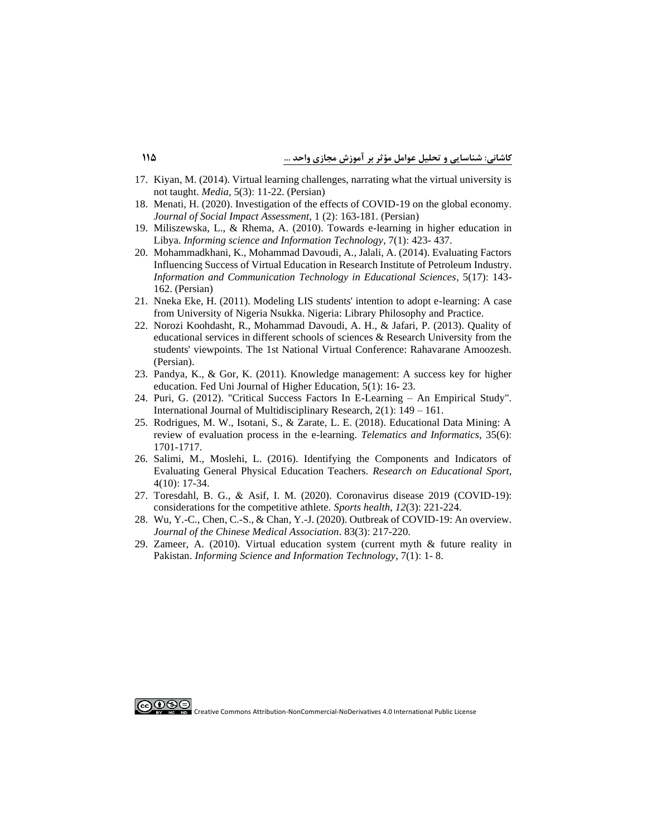- 17. [Kiyan, M. \(2014\). Virtual learning challenges, narrating what the virtual university is](https://www.sid.ir/FileServer/JF/3006013930302.pdf)  not taught. *Media*, 5(3): [11-22. \(Persian\)](https://www.sid.ir/FileServer/JF/3006013930302.pdf)
- 18. [Menati, H. \(2020\). Investigation of the effects of COVID-19 on the global economy .](https://www.sid.ir/FileServer/JF/100104398V0208) *Journal of Social Impact Assessment*, 1 (2): [163-181. \(Persian\)](https://www.sid.ir/FileServer/JF/100104398V0208)
- 19. [Miliszewska, L., & Rhema, A. \(2010\). Towards e-learning in higher education in](https://books.google.com/books?hl=en&lr=&id=fnz6NxSXzGcC&oi=fnd&pg=PA423&dq=18.%09Miliszewska,+L.,+%26+Rhema,+A.+(2010).+Towards+e-learning+in+higher+education+in+Libya.+Informing+science+and+Information+Technology,+7(1),+423-+437.&ots=mIfbZT_tSq&sig=rdOyTOxQVX21e1mFA0jDeNnzrSs#v=onepage&q&f=false)  Libya. *[Informing science and Information Technology](https://books.google.com/books?hl=en&lr=&id=fnz6NxSXzGcC&oi=fnd&pg=PA423&dq=18.%09Miliszewska,+L.,+%26+Rhema,+A.+(2010).+Towards+e-learning+in+higher+education+in+Libya.+Informing+science+and+Information+Technology,+7(1),+423-+437.&ots=mIfbZT_tSq&sig=rdOyTOxQVX21e1mFA0jDeNnzrSs#v=onepage&q&f=false)*, 7(1): 423- 437.
- 20. [Mohammadkhani, K., Mohammad Davoudi, A., Jalali, A. \(2014\). Evaluating Factors](http://ictedu.iausari.ac.ir/article_641876_6d8c906b53c1070d77640fd23ca08d27.pdf?lang=en)  [Influencing Success of Virtual Education in Research Institute of Petroleum](http://ictedu.iausari.ac.ir/article_641876_6d8c906b53c1070d77640fd23ca08d27.pdf?lang=en) Industry. *[Information and Communication Technology in Educational Sciences](http://ictedu.iausari.ac.ir/article_641876_6d8c906b53c1070d77640fd23ca08d27.pdf?lang=en)*, 5(17) : 143- [162. \(Persian\)](http://ictedu.iausari.ac.ir/article_641876_6d8c906b53c1070d77640fd23ca08d27.pdf?lang=en)
- 21. [Nneka Eke, H. \(2011\). Modeling LIS students' intention to adopt e-learning: A case](https://core.ac.uk/download/pdf/188061499.pdf)  [from University of Nigeria Nsukka. Nigeria: Library Philosophy and](https://core.ac.uk/download/pdf/188061499.pdf) Practice.
- 22. Norozi Koohdasht, R., Mohammad Davoudi, A. H., & Jafari, P. (2013). Quality of educational services in different schools of sciences & Research University from the students' viewpoints. The 1st National Virtual Conference: Rahavarane Amoozesh. (Persian).
- 23. [Pandya, K., & Gor, K. \(2011\). Knowledge management: A success key for higher](https://papers.ssrn.com/sol3/papers.cfm?abstract_id=1788886)  [education. Fed Uni Journal of Higher Education, 5\(1\): 16-](https://papers.ssrn.com/sol3/papers.cfm?abstract_id=1788886) 23.
- 24. [Puri, G. \(2012\). "Critical Success Factors In E-Learning –](https://d1wqtxts1xzle7.cloudfront.net/36574912/ZIJMR_VOL_2_ISSUE_1_JAN_2012_COMPLETE.pdf?1423508035=&response-content-disposition=inline%3B+filename%3DPricing_behaviour.pdf&Expires=1614593174&Signature=TOqmEQn7U7Ii8lLb5rBJN423kU4GiDX5h1-V0xPlcg3mN5dq7GLFCJcQLmh5geBOAL87qA47TyHxirK91j5D0qov1PdaYc9KFUBiJ3ZBhcR-oo2SOC3mNR~MaqLh7G9Hy8jN5TEWuzUr~KJzA9PO32cpRJ6iDgOPWamq23hU-f0Z8vionISvPweEq-kdYNUcwYIA-8CqTI-uvyuznXnRiSkBdp9nh1PmrkD~noUCwBpTaabyiCTsNo9ljf8KBOgsXEj6hSlg3~lRCtjh9Hs7HUHb3wcoDUuU8CsruX~alkEDBcOh~euqxEsIA51XpiFgY2Ne8-5qsnt9aa~xgxvaUg__&Key-Pair-Id=APKAJLOHF5GGSLRBV4ZA) An Empirical Study". [International Journal of Multidisciplinary Research, 2\(1\):](https://d1wqtxts1xzle7.cloudfront.net/36574912/ZIJMR_VOL_2_ISSUE_1_JAN_2012_COMPLETE.pdf?1423508035=&response-content-disposition=inline%3B+filename%3DPricing_behaviour.pdf&Expires=1614593174&Signature=TOqmEQn7U7Ii8lLb5rBJN423kU4GiDX5h1-V0xPlcg3mN5dq7GLFCJcQLmh5geBOAL87qA47TyHxirK91j5D0qov1PdaYc9KFUBiJ3ZBhcR-oo2SOC3mNR~MaqLh7G9Hy8jN5TEWuzUr~KJzA9PO32cpRJ6iDgOPWamq23hU-f0Z8vionISvPweEq-kdYNUcwYIA-8CqTI-uvyuznXnRiSkBdp9nh1PmrkD~noUCwBpTaabyiCTsNo9ljf8KBOgsXEj6hSlg3~lRCtjh9Hs7HUHb3wcoDUuU8CsruX~alkEDBcOh~euqxEsIA51XpiFgY2Ne8-5qsnt9aa~xgxvaUg__&Key-Pair-Id=APKAJLOHF5GGSLRBV4ZA) 149 – 161.
- 25. [Rodrigues, M. W., Isotani, S., & Zarate, L. E. \(2018\). Educational Data Mining: A](https://www.researchgate.net/profile/Marcos-Rodrigues-16/publication/325024509_Educational_Data_Mining_A_review_of_evaluation_process_in_the_e-learning/links/5bcb15c9a6fdcc03c7974b5e/Educational-Data-Mining-A-review-of-evaluation-process-in-the-e-learning.pdf)  [review of evaluation process in the e-learning.](https://www.researchgate.net/profile/Marcos-Rodrigues-16/publication/325024509_Educational_Data_Mining_A_review_of_evaluation_process_in_the_e-learning/links/5bcb15c9a6fdcc03c7974b5e/Educational-Data-Mining-A-review-of-evaluation-process-in-the-e-learning.pdf) *Telematics and Informatics*, 35(6) : [1701-1717.](https://www.researchgate.net/profile/Marcos-Rodrigues-16/publication/325024509_Educational_Data_Mining_A_review_of_evaluation_process_in_the_e-learning/links/5bcb15c9a6fdcc03c7974b5e/Educational-Data-Mining-A-review-of-evaluation-process-in-the-e-learning.pdf)
- 26. [Salimi, M., Moslehi, L. \(2016\). Identifying the Components and Indicators of](http://ensani.ir/file/download/article/20161109141659-10002-48.pdf)  [Evaluating General Physical Education Teachers.](http://ensani.ir/file/download/article/20161109141659-10002-48.pdf) *Research on Educational Sport*, 4(10): [17-34.](http://ensani.ir/file/download/article/20161109141659-10002-48.pdf)
- 27. Toresdahl, B. G., & Asif, I. [M. \(2020\). Coronavirus disease 2019 \(COVID-19\):](file:///C:/Users/Kashani/AppData/Local/Temp/1.%09Toresdahl,%20Brett%20G.,%20and%20Irfan%20M.%20Asif.%20%22Coronavirus%20disease%202019%20(COVID-19):%20considerations%20for%20the%20competitive%20athlete.%22%20(2020):%20221-224)  [considerations for the competitive athlete.](file:///C:/Users/Kashani/AppData/Local/Temp/1.%09Toresdahl,%20Brett%20G.,%20and%20Irfan%20M.%20Asif.%20%22Coronavirus%20disease%202019%20(COVID-19):%20considerations%20for%20the%20competitive%20athlete.%22%20(2020):%20221-224) *Sports health*, *12*(3): 221-224.
- 28. Wu, Y.-C., Chen, C.-S., & Chan, Y.-J. [\(2020\). Outbreak of COVID-19: An overview.](file:///C:/Users/Kashani/AppData/Local/Temp/29.%09Wu,%20Y.-C.,,%20Chen,%20C.-S.,%20&%20Chan,%20Y.-J..%20(2020).%20Outbreak%20of%20COVID-19:%20An%20overview.%20Journal%20of%20the%20Chinese%20Medical%20Association.%2083(3),%20217-220)  *Journal [of the Chinese Medical Association](file:///C:/Users/Kashani/AppData/Local/Temp/29.%09Wu,%20Y.-C.,,%20Chen,%20C.-S.,%20&%20Chan,%20Y.-J..%20(2020).%20Outbreak%20of%20COVID-19:%20An%20overview.%20Journal%20of%20the%20Chinese%20Medical%20Association.%2083(3),%20217-220)*. 83(3): 217-220.
- 29. [Zameer, A. \(2010\). Virtual education system \(current myth & future reality in](https://www.sid.ir/FileServer/JF/25613952606.pdf)  Pakistan. *Informing [Science and Information Technology](https://www.sid.ir/FileServer/JF/25613952606.pdf)*, 7(1): 1- 8.

ெ⊕ை